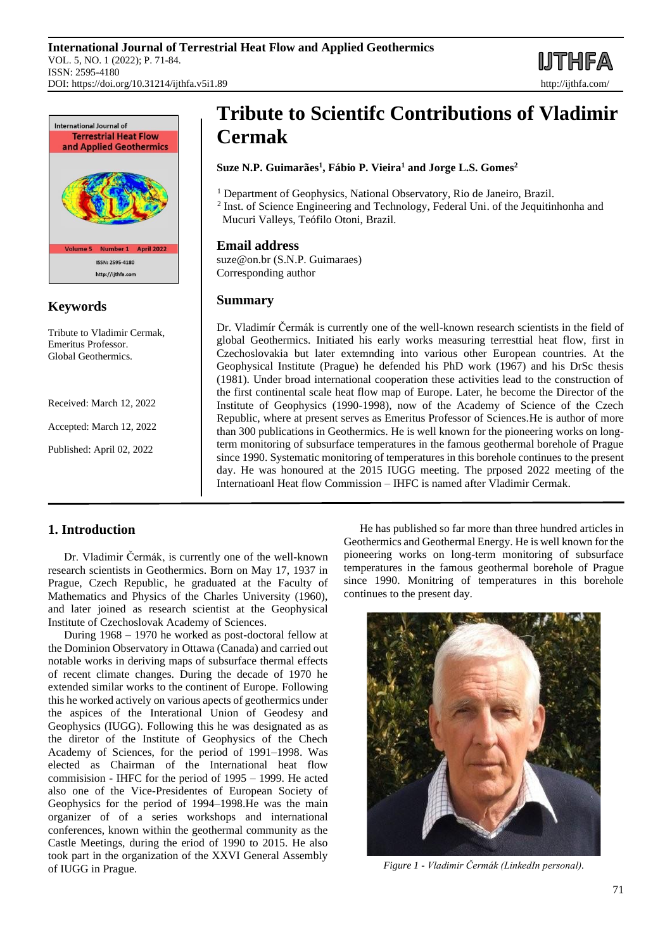**IJTHFA** 



## **Keywords**

Tribute to Vladimir Cermak, Emeritus Professor. Global Geothermics.

Received: March 12, 2022

Accepted: March 12, 2022

Published: April 02, 2022

# **Tribute to Scientifc Contributions of Vladimir Cermak**

### **Suze N.P. Guimarães<sup>1</sup> , Fábio P. Vieira<sup>1</sup> and Jorge L.S. Gomes<sup>2</sup>**

<sup>1</sup> Department of Geophysics, National Observatory, Rio de Janeiro, Brazil. <sup>2</sup> Inst. of Science Engineering and Technology, Federal Uni. of the Jequitinhonha and

Mucuri Valleys, Teófilo Otoni, Brazil.

## **Email address**

suze@on.br (S.N.P. Guimaraes) Corresponding author

## **Summary**

Dr. Vladimír Čermák is currently one of the well-known research scientists in the field of global Geothermics. Initiated his early works measuring terresttial heat flow, first in Czechoslovakia but later extemnding into various other European countries. At the Geophysical Institute (Prague) he defended his PhD work (1967) and his DrSc thesis (1981). Under broad international cooperation these activities lead to the construction of the first continental scale heat flow map of Europe. Later, he become the Director of the Institute of Geophysics (1990-1998), now of the Academy of Science of the Czech Republic, where at present serves as Emeritus Professor of Sciences.He is author of more than 300 publications in Geothermics. He is well known for the pioneering works on longterm monitoring of subsurface temperatures in the famous geothermal borehole of Prague since 1990. Systematic monitoring of temperatures in this borehole continues to the present day. He was honoured at the 2015 IUGG meeting. The prposed 2022 meeting of the Internatioanl Heat flow Commission – IHFC is named after Vladimir Cermak.

# **1. Introduction**

Dr. Vladimir Čermák, is currently one of the well-known research scientists in Geothermics. Born on May 17, 1937 in Prague, Czech Republic, he graduated at the Faculty of Mathematics and Physics of the Charles University (1960), and later joined as research scientist at the Geophysical Institute of Czechoslovak Academy of Sciences.

During 1968 – 1970 he worked as post-doctoral fellow at the Dominion Observatory in Ottawa (Canada) and carried out notable works in deriving maps of subsurface thermal effects of recent climate changes. During the decade of 1970 he extended similar works to the continent of Europe. Following this he worked actively on various apects of geothermics under the aspices of the Interational Union of Geodesy and Geophysics (IUGG). Following this he was designated as as the diretor of the Institute of Geophysics of the Chech Academy of Sciences, for the period of 1991–1998. Was elected as Chairman of the International heat flow commisision - IHFC for the period of 1995 – 1999. He acted also one of the Vice-Presidentes of European Society of Geophysics for the period of 1994–1998.He was the main organizer of of a series workshops and international conferences, known within the geothermal community as the Castle Meetings, during the eriod of 1990 to 2015. He also took part in the organization of the XXVI General Assembly of IUGG in Prague.

He has published so far more than three hundred articles in Geothermics and Geothermal Energy. He is well known for the pioneering works on long-term monitoring of subsurface temperatures in the famous geothermal borehole of Prague since 1990. Monitring of temperatures in this borehole continues to the present day.



*Figure 1 - Vladimir Čermák (LinkedIn personal).*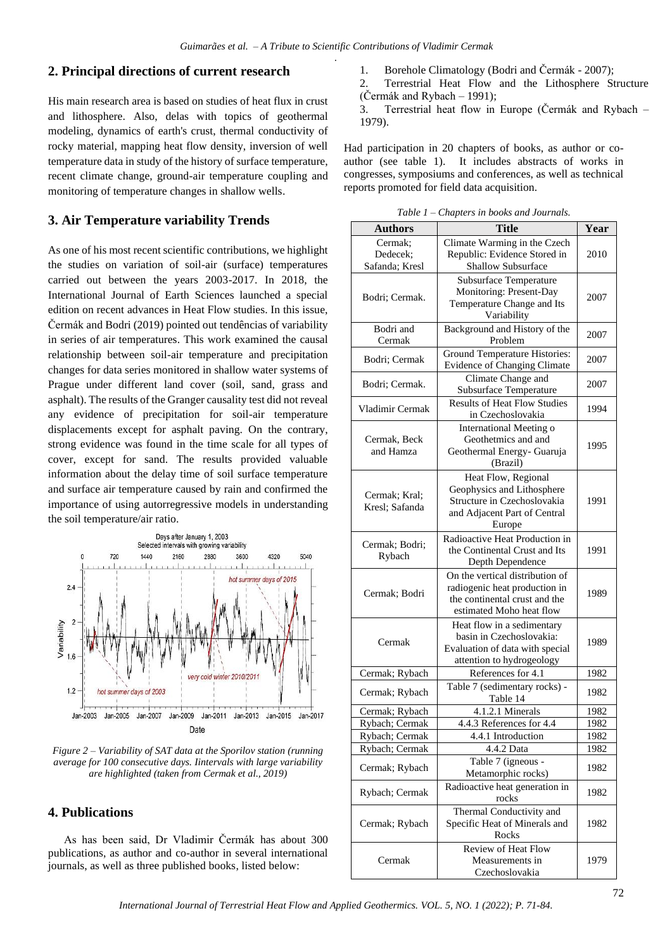#### **2. Principal directions of current research**

His main research area is based on studies of heat flux in crust and lithosphere. Also, delas with topics of geothermal modeling, dynamics of earth's crust, thermal conductivity of rocky material, mapping heat flow density, inversion of well temperature data in study of the history of surface temperature, recent climate change, ground-air temperature coupling and monitoring of temperature changes in shallow wells.

#### **3. Air Temperature variability Trends**

As one of his most recent scientific contributions, we highlight the studies on variation of soil-air (surface) temperatures carried out between the years 2003-2017. In 2018, the International Journal of Earth Sciences launched a special edition on recent advances in Heat Flow studies. In this issue, Čermák and Bodri (2019) pointed out tendências of variability in series of air temperatures. This work examined the causal relationship between soil-air temperature and precipitation changes for data series monitored in shallow water systems of Prague under different land cover (soil, sand, grass and asphalt). The results of the Granger causality test did not reveal any evidence of precipitation for soil-air temperature displacements except for asphalt paving. On the contrary, strong evidence was found in the time scale for all types of cover, except for sand. The results provided valuable information about the delay time of soil surface temperature and surface air temperature caused by rain and confirmed the importance of using autorregressive models in understanding the soil temperature/air ratio.



*Figure 2 – Variability of SAT data at the Sporilov station (running average for 100 consecutive days. Iintervals with large variability are highlighted (taken from Cermak et al., 2019)*

#### **4. Publications**

As has been said, Dr Vladimir Čermák has about 300 publications, as author and co-author in several international journals, as well as three published books, listed below:

- 1. Borehole Climatology (Bodri and Čermák 2007);
- 2. Terrestrial Heat Flow and the Lithosphere Structure (Čermák and Rybach – 1991);
- 3. Terrestrial heat flow in Europe (Čermák and Rybach 1979).

Had participation in 20 chapters of books, as author or coauthor (see table 1). It includes abstracts of works in congresses, symposiums and conferences, as well as technical reports promoted for field data acquisition.

*Table 1 – Chapters in books and Journals.*

| <b>Authors</b>                        | <b>Title</b>                                                                                                                  | Year |
|---------------------------------------|-------------------------------------------------------------------------------------------------------------------------------|------|
| Cermak:<br>Dedecek:<br>Safanda; Kresl | Climate Warming in the Czech<br>Republic: Evidence Stored in<br>Shallow Subsurface                                            | 2010 |
| Bodri; Cermak.                        | Subsurface Temperature<br>Monitoring: Present-Day<br>Temperature Change and Its<br>Variability                                | 2007 |
| Bodri and<br>Cermak                   | Background and History of the<br>Problem                                                                                      | 2007 |
| Bodri; Cermak                         | Ground Temperature Histories:<br>Evidence of Changing Climate                                                                 | 2007 |
| Bodri; Cermak.                        | Climate Change and<br>Subsurface Temperature                                                                                  | 2007 |
| Vladimir Cermak                       | <b>Results of Heat Flow Studies</b><br>in Czechoslovakia                                                                      | 1994 |
| Cermak, Beck<br>and Hamza             | International Meeting o<br>Geothetmics and and<br>Geothermal Energy- Guaruja<br>(Brazil)                                      | 1995 |
| Cermak; Kral;<br>Kresl; Safanda       | Heat Flow, Regional<br>Geophysics and Lithosphere<br>Structure in Czechoslovakia<br>and Adjacent Part of Central<br>Europe    | 1991 |
| Cermak; Bodri;<br>Rybach              | Radioactive Heat Production in<br>the Continental Crust and Its<br>Depth Dependence                                           | 1991 |
| Cermak; Bodri                         | On the vertical distribution of<br>radiogenic heat production in<br>the continental crust and the<br>estimated Moho heat flow | 1989 |
| Cermak                                | Heat flow in a sedimentary<br>basin in Czechoslovakia:<br>Evaluation of data with special<br>attention to hydrogeology        | 1989 |
| Cermak; Rybach                        | References for 4.1                                                                                                            | 1982 |
| Cermak; Rybach                        | Table 7 (sedimentary rocks) -<br>Table 14                                                                                     | 1982 |
| Cermak; Rybach                        | 4.1.2.1 Minerals                                                                                                              | 1982 |
| Rybach; Cermak                        | 4.4.3 References for 4.4                                                                                                      | 1982 |
| Rybach; Cermak                        | 4.4.1 Introduction                                                                                                            | 1982 |
| Rybach; Cermak                        | 4.4.2 Data                                                                                                                    | 1982 |
| Cermak; Rybach                        | Table 7 (igneous -<br>Metamorphic rocks)                                                                                      | 1982 |
| Rybach; Cermak                        | Radioactive heat generation in<br>rocks                                                                                       | 1982 |
| Cermak; Rybach                        | Thermal Conductivity and<br>Specific Heat of Minerals and<br>Rocks                                                            | 1982 |
| Cermak                                | Review of Heat Flow<br>Measurements in<br>Czechoslovakia                                                                      | 1979 |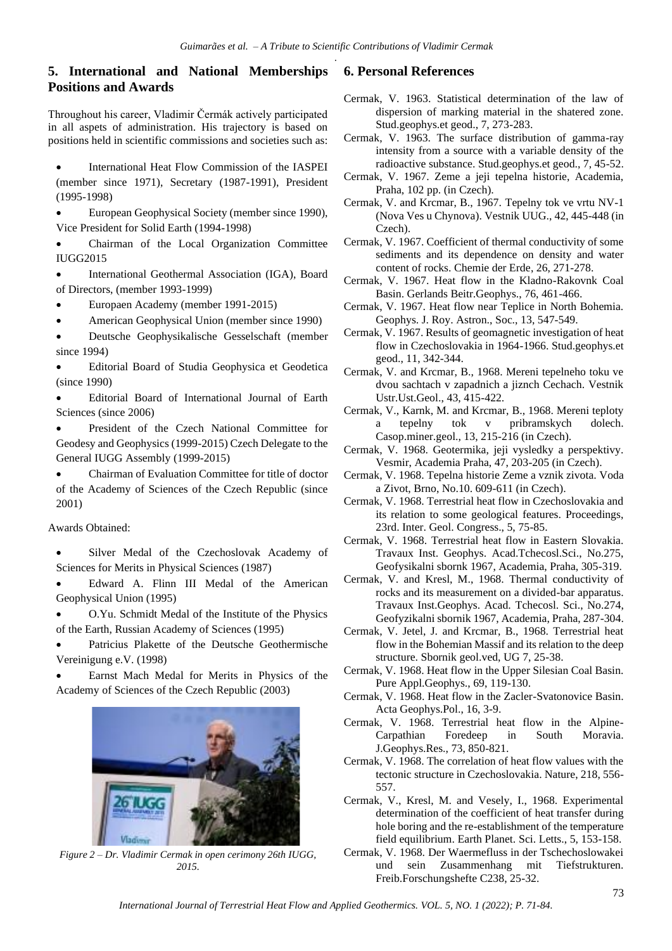# **5. International and National Memberships Positions and Awards**

Throughout his career, Vladimir Čermák actively participated in all aspets of administration. His trajectory is based on positions held in scientific commissions and societies such as:

• International Heat Flow Commission of the IASPEI (member since 1971), Secretary (1987-1991), President (1995-1998)

• European Geophysical Society (member since 1990), Vice President for Solid Earth (1994-1998)

• Chairman of the Local Organization Committee IUGG2015

- International Geothermal Association (IGA), Board of Directors, (member 1993-1999)
- Europaen Academy (member 1991-2015)
- American Geophysical Union (member since 1990)
- Deutsche Geophysikalische Gesselschaft (member since 1994)

• Editorial Board of Studia Geophysica et Geodetica (since 1990)

• Editorial Board of International Journal of Earth Sciences (since 2006)

• President of the Czech National Committee for Geodesy and Geophysics (1999-2015) Czech Delegate to the General IUGG Assembly (1999-2015)

• Chairman of Evaluation Committee for title of doctor of the Academy of Sciences of the Czech Republic (since 2001)

Awards Obtained:

Silver Medal of the Czechoslovak Academy of Sciences for Merits in Physical Sciences (1987)

• Edward A. Flinn III Medal of the American Geophysical Union (1995)

• O.Yu. Schmidt Medal of the Institute of the Physics of the Earth, Russian Academy of Sciences (1995)

Patricius Plakette of the Deutsche Geothermische Vereinigung e.V. (1998)

• Earnst Mach Medal for Merits in Physics of the Academy of Sciences of the Czech Republic (2003)



*Figure 2 – Dr. Vladimir Cermak in open cerimony 26th IUGG, 2015.*

## **6. Personal References**

- Cermak, V. 1963. Statistical determination of the law of dispersion of marking material in the shatered zone. Stud.geophys.et geod., 7, 273-283.
- Cermak, V. 1963. The surface distribution of gamma-ray intensity from a source with a variable density of the radioactive substance. Stud.geophys.et geod., 7, 45-52.
- Cermak, V. 1967. Zeme a jeji tepelna historie, Academia, Praha, 102 pp. (in Czech).

Cermak, V. and Krcmar, B., 1967. Tepelny tok ve vrtu NV-1 (Nova Ves u Chynova). Vestnik UUG., 42, 445-448 (in Czech).

- Cermak, V. 1967. Coefficient of thermal conductivity of some sediments and its dependence on density and water content of rocks. Chemie der Erde, 26, 271-278.
- Cermak, V. 1967. Heat flow in the Kladno-Rakovnk Coal Basin. Gerlands Beitr.Geophys., 76, 461-466.
- Cermak, V. 1967. Heat flow near Teplice in North Bohemia. Geophys. J. Roy. Astron., Soc., 13, 547-549.
- Cermak, V. 1967. Results of geomagnetic investigation of heat flow in Czechoslovakia in 1964-1966. Stud.geophys.et geod., 11, 342-344.
- Cermak, V. and Krcmar, B., 1968. Mereni tepelneho toku ve dvou sachtach v zapadnich a jiznch Cechach. Vestnik Ustr.Ust.Geol., 43, 415-422.
- Cermak, V., Karnk, M. and Krcmar, B., 1968. Mereni teploty a tepelny tok v pribramskych dolech. Casop.miner.geol., 13, 215-216 (in Czech).
- Cermak, V. 1968. Geotermika, jeji vysledky a perspektivy. Vesmir, Academia Praha, 47, 203-205 (in Czech).
- Cermak, V. 1968. Tepelna historie Zeme a vznik zivota. Voda a Zivot, Brno, No.10. 609-611 (in Czech).
- Cermak, V. 1968. Terrestrial heat flow in Czechoslovakia and its relation to some geological features. Proceedings, 23rd. Inter. Geol. Congress., 5, 75-85.
- Cermak, V. 1968. Terrestrial heat flow in Eastern Slovakia. Travaux Inst. Geophys. Acad.Tchecosl.Sci., No.275, Geofysikalni sbornk 1967, Academia, Praha, 305-319.
- Cermak, V. and Kresl, M., 1968. Thermal conductivity of rocks and its measurement on a divided-bar apparatus. Travaux Inst.Geophys. Acad. Tchecosl. Sci., No.274, Geofyzikalni sbornik 1967, Academia, Praha, 287-304.
- Cermak, V. Jetel, J. and Krcmar, B., 1968. Terrestrial heat flow in the Bohemian Massif and its relation to the deep structure. Sbornik geol.ved, UG 7, 25-38.
- Cermak, V. 1968. Heat flow in the Upper Silesian Coal Basin. Pure Appl.Geophys., 69, 119-130.
- Cermak, V. 1968. Heat flow in the Zacler-Svatonovice Basin. Acta Geophys.Pol., 16, 3-9.
- Cermak, V. 1968. Terrestrial heat flow in the Alpine-Carpathian Foredeep in South Moravia. J.Geophys.Res., 73, 850-821.
- Cermak, V. 1968. The correlation of heat flow values with the tectonic structure in Czechoslovakia. Nature, 218, 556- 557.
- Cermak, V., Kresl, M. and Vesely, I., 1968. Experimental determination of the coefficient of heat transfer during hole boring and the re-establishment of the temperature field equilibrium. Earth Planet. Sci. Letts., 5, 153-158.
- Cermak, V. 1968. Der Waermefluss in der Tschechoslowakei und sein Zusammenhang mit Tiefstrukturen. Freib.Forschungshefte C238, 25-32.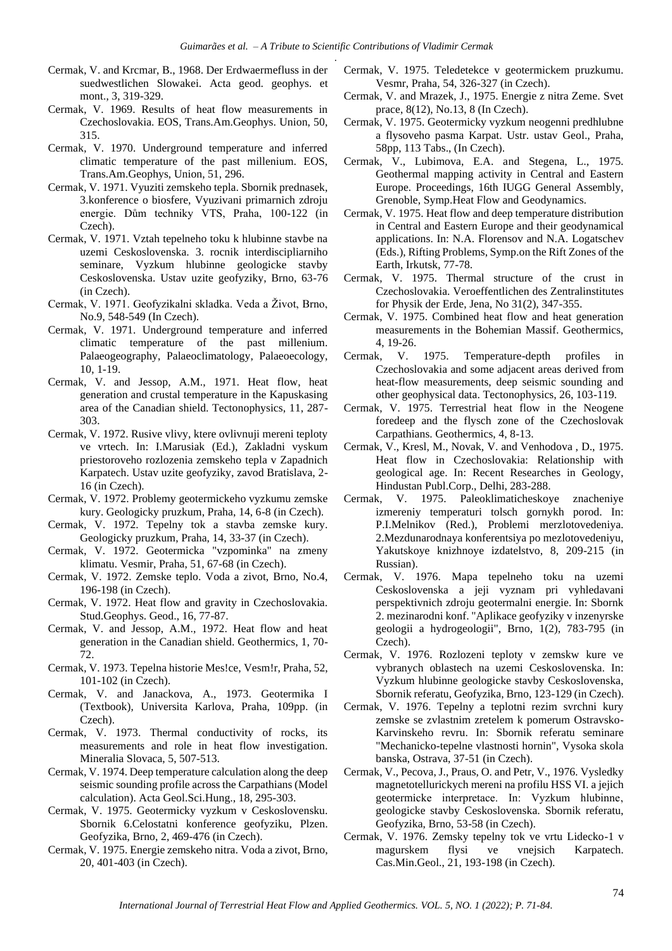- Cermak, V. and Krcmar, B., 1968. Der Erdwaermefluss in der suedwestlichen Slowakei. Acta geod. geophys. et mont., 3, 319-329.
- Cermak, V. 1969. Results of heat flow measurements in Czechoslovakia. EOS, Trans.Am.Geophys. Union, 50, 315.
- Cermak, V. 1970. Underground temperature and inferred climatic temperature of the past millenium. EOS, Trans.Am.Geophys, Union, 51, 296.
- Cermak, V. 1971. Vyuziti zemskeho tepla. Sbornik prednasek, 3.konference o biosfere, Vyuzivani primarnich zdroju energie. Dům techniky VTS, Praha, 100-122 (in Czech).
- Cermak, V. 1971. Vztah tepelneho toku k hlubinne stavbe na uzemi Ceskoslovenska. 3. rocnik interdiscipliarniho seminare, Vyzkum hlubinne geologicke stavby Ceskoslovenska. Ustav uzite geofyziky, Brno, 63-76 (in Czech).
- Cermak, V. 1971. Geofyzikalni skladka. Veda a Život, Brno, No.9, 548-549 (In Czech).
- Cermak, V. 1971. Underground temperature and inferred climatic temperature of the past millenium. Palaeogeography, Palaeoclimatology, Palaeoecology, 10, 1-19.
- Cermak, V. and Jessop, A.M., 1971. Heat flow, heat generation and crustal temperature in the Kapuskasing area of the Canadian shield. Tectonophysics, 11, 287- 303.
- Cermak, V. 1972. Rusive vlivy, ktere ovlivnuji mereni teploty ve vrtech. In: I.Marusiak (Ed.), Zakladni vyskum priestoroveho rozlozenia zemskeho tepla v Zapadnich Karpatech. Ustav uzite geofyziky, zavod Bratislava, 2- 16 (in Czech).
- Cermak, V. 1972. Problemy geotermickeho vyzkumu zemske kury. Geologicky pruzkum, Praha, 14, 6-8 (in Czech).
- Cermak, V. 1972. Tepelny tok a stavba zemske kury. Geologicky pruzkum, Praha, 14, 33-37 (in Czech).
- Cermak, V. 1972. Geotermicka "vzpominka" na zmeny klimatu. Vesmir, Praha, 51, 67-68 (in Czech).
- Cermak, V. 1972. Zemske teplo. Voda a zivot, Brno, No.4, 196-198 (in Czech).
- Cermak, V. 1972. Heat flow and gravity in Czechoslovakia. Stud.Geophys. Geod., 16, 77-87.
- Cermak, V. and Jessop, A.M., 1972. Heat flow and heat generation in the Canadian shield. Geothermics, 1, 70- 72.
- Cermak, V. 1973. Tepelna historie Mes!ce, Vesm!r, Praha, 52, 101-102 (in Czech).
- Cermak, V. and Janackova, A., 1973. Geotermika I (Textbook), Universita Karlova, Praha, 109pp. (in Czech).
- Cermak, V. 1973. Thermal conductivity of rocks, its measurements and role in heat flow investigation. Mineralia Slovaca, 5, 507-513.
- Cermak, V. 1974. Deep temperature calculation along the deep seismic sounding profile across the Carpathians (Model calculation). Acta Geol.Sci.Hung., 18, 295-303.
- Cermak, V. 1975. Geotermicky vyzkum v Ceskoslovensku. Sbornik 6.Celostatni konference geofyziku, Plzen. Geofyzika, Brno, 2, 469-476 (in Czech).
- Cermak, V. 1975. Energie zemskeho nitra. Voda a zivot, Brno, 20, 401-403 (in Czech).
- Cermak, V. 1975. Teledetekce v geotermickem pruzkumu. Vesmr, Praha, 54, 326-327 (in Czech).
- Cermak, V. and Mrazek, J., 1975. Energie z nitra Zeme. Svet prace, 8(12), No.13, 8 (In Czech).
- Cermak, V. 1975. Geotermicky vyzkum neogenni predhlubne a flysoveho pasma Karpat. Ustr. ustav Geol., Praha, 58pp, 113 Tabs., (In Czech).
- Cermak, V., Lubimova, E.A. and Stegena, L., 1975. Geothermal mapping activity in Central and Eastern Europe. Proceedings, 16th IUGG General Assembly, Grenoble, Symp.Heat Flow and Geodynamics.
- Cermak, V. 1975. Heat flow and deep temperature distribution in Central and Eastern Europe and their geodynamical applications. In: N.A. Florensov and N.A. Logatschev (Eds.), Rifting Problems, Symp.on the Rift Zones of the Earth, Irkutsk, 77-78.
- Cermak, V. 1975. Thermal structure of the crust in Czechoslovakia. Veroeffentlichen des Zentralinstitutes for Physik der Erde, Jena, No 31(2), 347-355.
- Cermak, V. 1975. Combined heat flow and heat generation measurements in the Bohemian Massif. Geothermics, 4, 19-26.
- Cermak, V. 1975. Temperature-depth profiles in Czechoslovakia and some adjacent areas derived from heat-flow measurements, deep seismic sounding and other geophysical data. Tectonophysics, 26, 103-119.
- Cermak, V. 1975. Terrestrial heat flow in the Neogene foredeep and the flysch zone of the Czechoslovak Carpathians. Geothermics, 4, 8-13.
- Cermak, V., Kresl, M., Novak, V. and Venhodova , D., 1975. Heat flow in Czechoslovakia: Relationship with geological age. In: Recent Researches in Geology, Hindustan Publ.Corp., Delhi, 283-288.
- Cermak, V. 1975. Paleoklimaticheskoye znacheniye izmereniy temperaturi tolsch gornykh porod. In: P.I.Melnikov (Red.), Problemi merzlotovedeniya. 2.Mezdunarodnaya konferentsiya po mezlotovedeniyu, Yakutskoye knizhnoye izdatelstvo, 8, 209-215 (in Russian).
- Cermak, V. 1976. Mapa tepelneho toku na uzemi Ceskoslovenska a jeji vyznam pri vyhledavani perspektivnich zdroju geotermalni energie. In: Sbornk 2. mezinarodni konf. "Aplikace geofyziky v inzenyrske geologii a hydrogeologii", Brno, 1(2), 783-795 (in Czech).
- Cermak, V. 1976. Rozlozeni teploty v zemskw kure ve vybranych oblastech na uzemi Ceskoslovenska. In: Vyzkum hlubinne geologicke stavby Ceskoslovenska, Sbornik referatu, Geofyzika, Brno, 123-129 (in Czech).
- Cermak, V. 1976. Tepelny a teplotni rezim svrchni kury zemske se zvlastnim zretelem k pomerum Ostravsko-Karvinskeho revru. In: Sbornik referatu seminare "Mechanicko-tepelne vlastnosti hornin", Vysoka skola banska, Ostrava, 37-51 (in Czech).
- Cermak, V., Pecova, J., Praus, O. and Petr, V., 1976. Vysledky magnetotellurickych mereni na profilu HSS VI. a jejich geotermicke interpretace. In: Vyzkum hlubinne' geologicke stavby Ceskoslovenska. Sbornik referatu, Geofyzika, Brno, 53-58 (in Czech).
- Cermak, V. 1976. Zemsky tepelny tok ve vrtu Lidecko-1 v magurskem flysi ve vnejsich Karpatech. Cas.Min.Geol., 21, 193-198 (in Czech).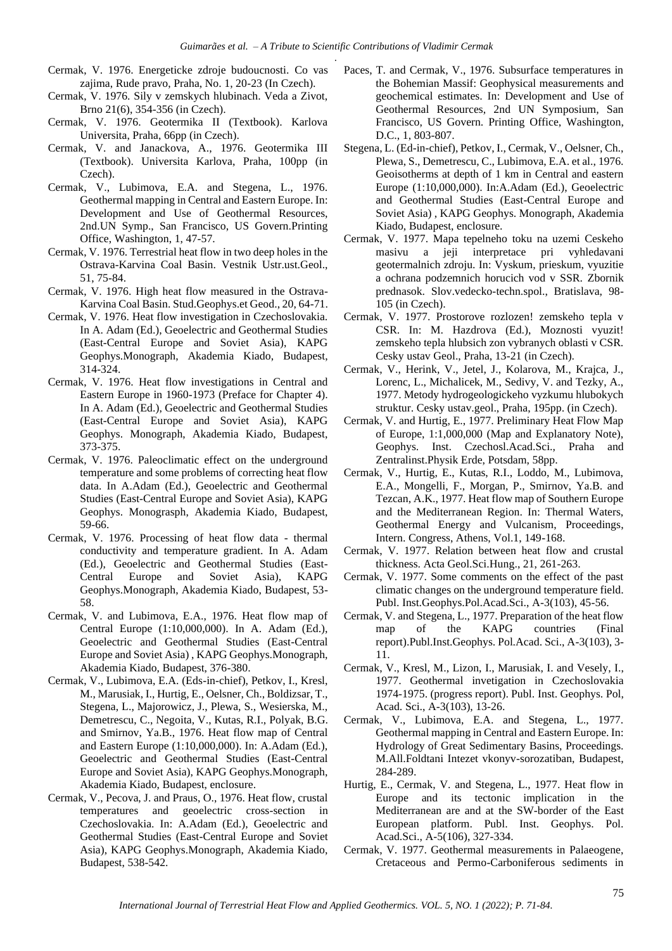- Cermak, V. 1976. Energeticke zdroje budoucnosti. Co vas zajima, Rude pravo, Praha, No. 1, 20-23 (In Czech).
- Cermak, V. 1976. Sily v zemskych hlubinach. Veda a Zivot, Brno 21(6), 354-356 (in Czech).
- Cermak, V. 1976. Geotermika II (Textbook). Karlova Universita, Praha, 66pp (in Czech).
- Cermak, V. and Janackova, A., 1976. Geotermika III (Textbook). Universita Karlova, Praha, 100pp (in Czech).
- Cermak, V., Lubimova, E.A. and Stegena, L., 1976. Geothermal mapping in Central and Eastern Europe. In: Development and Use of Geothermal Resources, 2nd.UN Symp., San Francisco, US Govern.Printing Office, Washington, 1, 47-57.
- Cermak, V. 1976. Terrestrial heat flow in two deep holes in the Ostrava-Karvina Coal Basin. Vestnik Ustr.ust.Geol., 51, 75-84.
- Cermak, V. 1976. High heat flow measured in the Ostrava-Karvina Coal Basin. Stud.Geophys.et Geod., 20, 64-71.
- Cermak, V. 1976. Heat flow investigation in Czechoslovakia. In A. Adam (Ed.), Geoelectric and Geothermal Studies (East-Central Europe and Soviet Asia), KAPG Geophys.Monograph, Akademia Kiado, Budapest, 314-324.
- Cermak, V. 1976. Heat flow investigations in Central and Eastern Europe in 1960-1973 (Preface for Chapter 4). In A. Adam (Ed.), Geoelectric and Geothermal Studies (East-Central Europe and Soviet Asia), KAPG Geophys. Monograph, Akademia Kiado, Budapest, 373-375.
- Cermak, V. 1976. Paleoclimatic effect on the underground temperature and some problems of correcting heat flow data. In A.Adam (Ed.), Geoelectric and Geothermal Studies (East-Central Europe and Soviet Asia), KAPG Geophys. Monograsph, Akademia Kiado, Budapest, 59-66.
- Cermak, V. 1976. Processing of heat flow data thermal conductivity and temperature gradient. In A. Adam (Ed.), Geoelectric and Geothermal Studies (East-Central Europe and Soviet Asia), KAPG Geophys.Monograph, Akademia Kiado, Budapest, 53- 58.
- Cermak, V. and Lubimova, E.A., 1976. Heat flow map of Central Europe (1:10,000,000). In A. Adam (Ed.), Geoelectric and Geothermal Studies (East-Central Europe and Soviet Asia) , KAPG Geophys.Monograph, Akademia Kiado, Budapest, 376-380.
- Cermak, V., Lubimova, E.A. (Eds-in-chief), Petkov, I., Kresl, M., Marusiak, I., Hurtig, E., Oelsner, Ch., Boldizsar, T., Stegena, L., Majorowicz, J., Plewa, S., Wesierska, M., Demetrescu, C., Negoita, V., Kutas, R.I., Polyak, B.G. and Smirnov, Ya.B., 1976. Heat flow map of Central and Eastern Europe (1:10,000,000). In: A.Adam (Ed.), Geoelectric and Geothermal Studies (East-Central Europe and Soviet Asia), KAPG Geophys.Monograph, Akademia Kiado, Budapest, enclosure.
- Cermak, V., Pecova, J. and Praus, O., 1976. Heat flow, crustal temperatures and geoelectric cross-section in Czechoslovakia. In: A.Adam (Ed.), Geoelectric and Geothermal Studies (East-Central Europe and Soviet Asia), KAPG Geophys.Monograph, Akademia Kiado, Budapest, 538-542.
- Paces, T. and Cermak, V., 1976. Subsurface temperatures in the Bohemian Massif: Geophysical measurements and geochemical estimates. In: Development and Use of Geothermal Resources, 2nd UN Symposium, San Francisco, US Govern. Printing Office, Washington, D.C., 1, 803-807.
- Stegena, L. (Ed-in-chief), Petkov, I., Cermak, V., Oelsner, Ch., Plewa, S., Demetrescu, C., Lubimova, E.A. et al., 1976. Geoisotherms at depth of 1 km in Central and eastern Europe (1:10,000,000). In:A.Adam (Ed.), Geoelectric and Geothermal Studies (East-Central Europe and Soviet Asia) , KAPG Geophys. Monograph, Akademia Kiado, Budapest, enclosure.
- Cermak, V. 1977. Mapa tepelneho toku na uzemi Ceskeho masivu a jeji interpretace pri vyhledavani geotermalnich zdroju. In: Vyskum, prieskum, vyuzitie a ochrana podzemnich horucich vod v SSR. Zbornik prednasok. Slov.vedecko-techn.spol., Bratislava, 98- 105 (in Czech).
- Cermak, V. 1977. Prostorove rozlozen! zemskeho tepla v CSR. In: M. Hazdrova (Ed.), Moznosti vyuzit! zemskeho tepla hlubsich zon vybranych oblasti v CSR. Cesky ustav Geol., Praha, 13-21 (in Czech).
- Cermak, V., Herink, V., Jetel, J., Kolarova, M., Krajca, J., Lorenc, L., Michalicek, M., Sedivy, V. and Tezky, A., 1977. Metody hydrogeologickeho vyzkumu hlubokych struktur. Cesky ustav.geol., Praha, 195pp. (in Czech).
- Cermak, V. and Hurtig, E., 1977. Preliminary Heat Flow Map of Europe, 1:1,000,000 (Map and Explanatory Note), Geophys. Inst. Czechosl.Acad.Sci., Praha and Zentralinst.Physik Erde, Potsdam, 58pp.
- Cermak, V., Hurtig, E., Kutas, R.I., Loddo, M., Lubimova, E.A., Mongelli, F., Morgan, P., Smirnov, Ya.B. and Tezcan, A.K., 1977. Heat flow map of Southern Europe and the Mediterranean Region. In: Thermal Waters, Geothermal Energy and Vulcanism, Proceedings, Intern. Congress, Athens, Vol.1, 149-168.
- Cermak, V. 1977. Relation between heat flow and crustal thickness. Acta Geol.Sci.Hung., 21, 261-263.
- Cermak, V. 1977. Some comments on the effect of the past climatic changes on the underground temperature field. Publ. Inst.Geophys.Pol.Acad.Sci., A-3(103), 45-56.
- Cermak, V. and Stegena, L., 1977. Preparation of the heat flow map of the KAPG countries (Final report).Publ.Inst.Geophys. Pol.Acad. Sci., A-3(103), 3- 11.
- Cermak, V., Kresl, M., Lizon, I., Marusiak, I. and Vesely, I., 1977. Geothermal invetigation in Czechoslovakia 1974-1975. (progress report). Publ. Inst. Geophys. Pol, Acad. Sci., A-3(103), 13-26.
- Cermak, V., Lubimova, E.A. and Stegena, L., 1977. Geothermal mapping in Central and Eastern Europe. In: Hydrology of Great Sedimentary Basins, Proceedings. M.All.Foldtani Intezet vkonyv-sorozatiban, Budapest, 284-289.
- Hurtig, E., Cermak, V. and Stegena, L., 1977. Heat flow in Europe and its tectonic implication in the Mediterranean are and at the SW-border of the East European platform. Publ. Inst. Geophys. Pol. Acad.Sci., A-5(106), 327-334.
- Cermak, V. 1977. Geothermal measurements in Palaeogene, Cretaceous and Permo-Carboniferous sediments in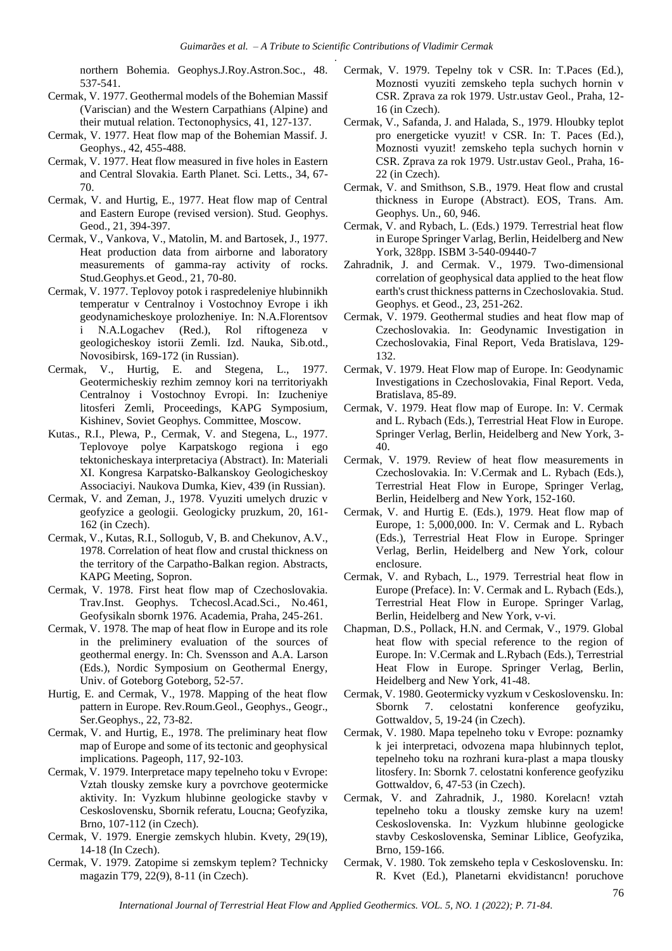northern Bohemia. Geophys.J.Roy.Astron.Soc., 48. 537-541.

- Cermak, V. 1977. Geothermal models of the Bohemian Massif (Variscian) and the Western Carpathians (Alpine) and their mutual relation. Tectonophysics, 41, 127-137.
- Cermak, V. 1977. Heat flow map of the Bohemian Massif. J. Geophys., 42, 455-488.
- Cermak, V. 1977. Heat flow measured in five holes in Eastern and Central Slovakia. Earth Planet. Sci. Letts., 34, 67- 70.
- Cermak, V. and Hurtig, E., 1977. Heat flow map of Central and Eastern Europe (revised version). Stud. Geophys. Geod., 21, 394-397.
- Cermak, V., Vankova, V., Matolin, M. and Bartosek, J., 1977. Heat production data from airborne and laboratory measurements of gamma-ray activity of rocks. Stud.Geophys.et Geod., 21, 70-80.
- Cermak, V. 1977. Teplovoy potok i raspredeleniye hlubinnikh temperatur v Centralnoy i Vostochnoy Evrope i ikh geodynamicheskoye prolozheniye. In: N.A.Florentsov N.A.Logachev (Red.), Rol riftogeneza geologicheskoy istorii Zemli. Izd. Nauka, Sib.otd., Novosibirsk, 169-172 (in Russian).
- Cermak, V., Hurtig, E. and Stegena, L., 1977. Geotermicheskiy rezhim zemnoy kori na territoriyakh Centralnoy i Vostochnoy Evropi. In: Izucheniye litosferi Zemli, Proceedings, KAPG Symposium, Kishinev, Soviet Geophys. Committee, Moscow.
- Kutas., R.I., Plewa, P., Cermak, V. and Stegena, L., 1977. Teplovoye polye Karpatskogo regiona i ego tektonicheskaya interpretaciya (Abstract). In: Materiali XI. Kongresa Karpatsko-Balkanskoy Geologicheskoy Associaciyi. Naukova Dumka, Kiev, 439 (in Russian).
- Cermak, V. and Zeman, J., 1978. Vyuziti umelych druzic v geofyzice a geologii. Geologicky pruzkum, 20, 161- 162 (in Czech).
- Cermak, V., Kutas, R.I., Sollogub, V, B. and Chekunov, A.V., 1978. Correlation of heat flow and crustal thickness on the territory of the Carpatho-Balkan region. Abstracts, KAPG Meeting, Sopron.
- Cermak, V. 1978. First heat flow map of Czechoslovakia. Trav.Inst. Geophys. Tchecosl.Acad.Sci., No.461, Geofysikaln sbornk 1976. Academia, Praha, 245-261.
- Cermak, V. 1978. The map of heat flow in Europe and its role in the preliminery evaluation of the sources of geothermal energy. In: Ch. Svensson and A.A. Larson (Eds.), Nordic Symposium on Geothermal Energy, Univ. of Goteborg Goteborg, 52-57.
- Hurtig, E. and Cermak, V., 1978. Mapping of the heat flow pattern in Europe. Rev.Roum.Geol., Geophys., Geogr., Ser.Geophys., 22, 73-82.
- Cermak, V. and Hurtig, E., 1978. The preliminary heat flow map of Europe and some of its tectonic and geophysical implications. Pageoph, 117, 92-103.
- Cermak, V. 1979. Interpretace mapy tepelneho toku v Evrope: Vztah tlousky zemske kury a povrchove geotermicke aktivity. In: Vyzkum hlubinne geologicke stavby v Ceskoslovensku, Sbornik referatu, Loucna; Geofyzika, Brno, 107-112 (in Czech).
- Cermak, V. 1979. Energie zemskych hlubin. Kvety, 29(19), 14-18 (In Czech).
- Cermak, V. 1979. Zatopime si zemskym teplem? Technicky magazin T79, 22(9), 8-11 (in Czech).
- Cermak, V. 1979. Tepelny tok v CSR. In: T.Paces (Ed.), Moznosti vyuziti zemskeho tepla suchych hornin v CSR. Zprava za rok 1979. Ustr.ustav Geol., Praha, 12- 16 (in Czech).
- Cermak, V., Safanda, J. and Halada, S., 1979. Hloubky teplot pro energeticke vyuzit! v CSR. In: T. Paces (Ed.), Moznosti vyuzit! zemskeho tepla suchych hornin v CSR. Zprava za rok 1979. Ustr.ustav Geol., Praha, 16- 22 (in Czech).
- Cermak, V. and Smithson, S.B., 1979. Heat flow and crustal thickness in Europe (Abstract). EOS, Trans. Am. Geophys. Un., 60, 946.
- Cermak, V. and Rybach, L. (Eds.) 1979. Terrestrial heat flow in Europe Springer Varlag, Berlin, Heidelberg and New York, 328pp. ISBM 3-540-09440-7
- Zahradnik, J. and Cermak. V., 1979. Two-dimensional correlation of geophysical data applied to the heat flow earth's crust thickness patterns in Czechoslovakia. Stud. Geophys. et Geod., 23, 251-262.
- Cermak, V. 1979. Geothermal studies and heat flow map of Czechoslovakia. In: Geodynamic Investigation in Czechoslovakia, Final Report, Veda Bratislava, 129- 132.
- Cermak, V. 1979. Heat Flow map of Europe. In: Geodynamic Investigations in Czechoslovakia, Final Report. Veda, Bratislava, 85-89.
- Cermak, V. 1979. Heat flow map of Europe. In: V. Cermak and L. Rybach (Eds.), Terrestrial Heat Flow in Europe. Springer Verlag, Berlin, Heidelberg and New York, 3- 40.
- Cermak, V. 1979. Review of heat flow measurements in Czechoslovakia. In: V.Cermak and L. Rybach (Eds.), Terrestrial Heat Flow in Europe, Springer Verlag, Berlin, Heidelberg and New York, 152-160.
- Cermak, V. and Hurtig E. (Eds.), 1979. Heat flow map of Europe, 1: 5,000,000. In: V. Cermak and L. Rybach (Eds.), Terrestrial Heat Flow in Europe. Springer Verlag, Berlin, Heidelberg and New York, colour enclosure.
- Cermak, V. and Rybach, L., 1979. Terrestrial heat flow in Europe (Preface). In: V. Cermak and L. Rybach (Eds.), Terrestrial Heat Flow in Europe. Springer Varlag, Berlin, Heidelberg and New York, v-vi.
- Chapman, D.S., Pollack, H.N. and Cermak, V., 1979. Global heat flow with special reference to the region of Europe. In: V.Cermak and L.Rybach (Eds.), Terrestrial Heat Flow in Europe. Springer Verlag, Berlin, Heidelberg and New York, 41-48.
- Cermak, V. 1980. Geotermicky vyzkum v Ceskoslovensku. In: Sbornk 7. celostatni konference geofyziku, Gottwaldov, 5, 19-24 (in Czech).
- Cermak, V. 1980. Mapa tepelneho toku v Evrope: poznamky k jei interpretaci, odvozena mapa hlubinnych teplot, tepelneho toku na rozhrani kura-plast a mapa tlousky litosfery. In: Sbornk 7. celostatni konference geofyziku Gottwaldov, 6, 47-53 (in Czech).
- Cermak, V. and Zahradnik, J., 1980. Korelacn! vztah tepelneho toku a tlousky zemske kury na uzem! Ceskoslovenska. In: Vyzkum hlubinne geologicke stavby Ceskoslovenska, Seminar Liblice, Geofyzika, Brno, 159-166.
- Cermak, V. 1980. Tok zemskeho tepla v Ceskoslovensku. In: R. Kvet (Ed.), Planetarni ekvidistancn! poruchove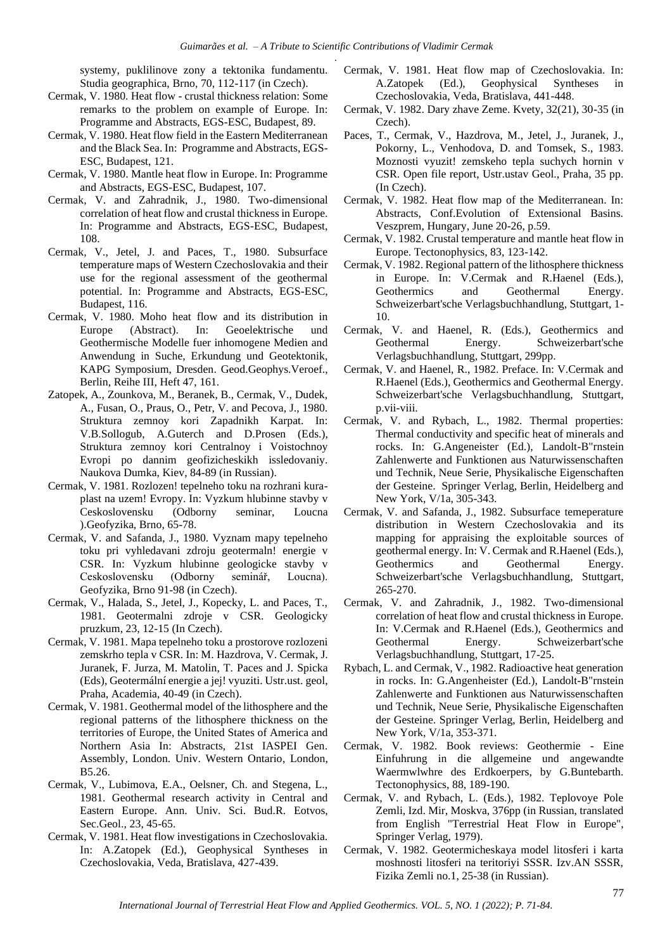systemy, puklilinove zony a tektonika fundamentu. Studia geographica, Brno, 70, 112-117 (in Czech).

- Cermak, V. 1980. Heat flow crustal thickness relation: Some remarks to the problem on example of Europe. In: Programme and Abstracts, EGS-ESC, Budapest, 89.
- Cermak, V. 1980. Heat flow field in the Eastern Mediterranean and the Black Sea. In: Programme and Abstracts, EGS-ESC, Budapest, 121.
- Cermak, V. 1980. Mantle heat flow in Europe. In: Programme and Abstracts, EGS-ESC, Budapest, 107.
- Cermak, V. and Zahradnik, J., 1980. Two-dimensional correlation of heat flow and crustal thickness in Europe. In: Programme and Abstracts, EGS-ESC, Budapest, 108.
- Cermak, V., Jetel, J. and Paces, T., 1980. Subsurface temperature maps of Western Czechoslovakia and their use for the regional assessment of the geothermal potential. In: Programme and Abstracts, EGS-ESC, Budapest, 116.
- Cermak, V. 1980. Moho heat flow and its distribution in Europe (Abstract). In: Geoelektrische und Geothermische Modelle fuer inhomogene Medien and Anwendung in Suche, Erkundung und Geotektonik, KAPG Symposium, Dresden. Geod.Geophys.Veroef., Berlin, Reihe III, Heft 47, 161.
- Zatopek, A., Zounkova, M., Beranek, B., Cermak, V., Dudek, A., Fusan, O., Praus, O., Petr, V. and Pecova, J., 1980. Struktura zemnoy kori Zapadnikh Karpat. In: V.B.Sollogub, A.Guterch and D.Prosen (Eds.), Struktura zemnoy kori Centralnoy i Voistochnoy Evropi po dannim geofizicheskikh issledovaniy. Naukova Dumka, Kiev, 84-89 (in Russian).
- Cermak, V. 1981. Rozlozen! tepelneho toku na rozhrani kuraplast na uzem! Evropy. In: Vyzkum hlubinne stavby v Ceskoslovensku (Odborny seminar, Loucna ).Geofyzika, Brno, 65-78.
- Cermak, V. and Safanda, J., 1980. Vyznam mapy tepelneho toku pri vyhledavani zdroju geotermaln! energie v CSR. In: Vyzkum hlubinne geologicke stavby v Ceskoslovensku (Odborny seminář, Loucna). Geofyzika, Brno 91-98 (in Czech).
- Cermak, V., Halada, S., Jetel, J., Kopecky, L. and Paces, T., 1981. Geotermalni zdroje v CSR. Geologicky pruzkum, 23, 12-15 (In Czech).
- Cermak, V. 1981. Mapa tepelneho toku a prostorove rozlozeni zemskrho tepla v CSR. In: M. Hazdrova, V. Cermak, J. Juranek, F. Jurza, M. Matolin, T. Paces and J. Spicka (Eds), Geotermální energie a jej! vyuziti. Ustr.ust. geol, Praha, Academia, 40-49 (in Czech).
- Cermak, V. 1981. Geothermal model of the lithosphere and the regional patterns of the lithosphere thickness on the territories of Europe, the United States of America and Northern Asia In: Abstracts, 21st IASPEI Gen. Assembly, London. Univ. Western Ontario, London, B5.26.
- Cermak, V., Lubimova, E.A., Oelsner, Ch. and Stegena, L., 1981. Geothermal research activity in Central and Eastern Europe. Ann. Univ. Sci. Bud.R. Eotvos, Sec.Geol., 23, 45-65.
- Cermak, V. 1981. Heat flow investigations in Czechoslovakia. In: A.Zatopek (Ed.), Geophysical Syntheses in Czechoslovakia, Veda, Bratislava, 427-439.
- Cermak, V. 1981. Heat flow map of Czechoslovakia. In: A.Zatopek (Ed.), Geophysical Syntheses in Czechoslovakia, Veda, Bratislava, 441-448.
- Cermak, V. 1982. Dary zhave Zeme. Kvety, 32(21), 30-35 (in Czech).
- Paces, T., Cermak, V., Hazdrova, M., Jetel, J., Juranek, J., Pokorny, L., Venhodova, D. and Tomsek, S., 1983. Moznosti vyuzit! zemskeho tepla suchych hornin v CSR. Open file report, Ustr.ustav Geol., Praha, 35 pp. (In Czech).
- Cermak, V. 1982. Heat flow map of the Mediterranean. In: Abstracts, Conf.Evolution of Extensional Basins. Veszprem, Hungary, June 20-26, p.59.
- Cermak, V. 1982. Crustal temperature and mantle heat flow in Europe. Tectonophysics, 83, 123-142.
- Cermak, V. 1982. Regional pattern of the lithosphere thickness in Europe. In: V.Cermak and R.Haenel (Eds.), Geothermics and Geothermal Energy. Schweizerbart'sche Verlagsbuchhandlung, Stuttgart, 1- 10.
- Cermak, V. and Haenel, R. (Eds.), Geothermics and Geothermal Energy. Schweizerbart'sche Verlagsbuchhandlung, Stuttgart, 299pp.
- Cermak, V. and Haenel, R., 1982. Preface. In: V.Cermak and R.Haenel (Eds.), Geothermics and Geothermal Energy. Schweizerbart'sche Verlagsbuchhandlung, Stuttgart, p.vii-viii.
- Cermak, V. and Rybach, L., 1982. Thermal properties: Thermal conductivity and specific heat of minerals and rocks. In: G.Angeneister (Ed.), Landolt-B"rnstein Zahlenwerte and Funktionen aus Naturwissenschaften und Technik, Neue Serie, Physikalische Eigenschaften der Gesteine. Springer Verlag, Berlin, Heidelberg and New York, V/1a, 305-343.
- Cermak, V. and Safanda, J., 1982. Subsurface temeperature distribution in Western Czechoslovakia and its mapping for appraising the exploitable sources of geothermal energy. In: V. Cermak and R.Haenel (Eds.), Geothermics and Geothermal Energy. Schweizerbart'sche Verlagsbuchhandlung, Stuttgart, 265-270.
- Cermak, V. and Zahradnik, J., 1982. Two-dimensional correlation of heat flow and crustal thickness in Europe. In: V.Cermak and R.Haenel (Eds.), Geothermics and Geothermal Energy. Schweizerbart'sche Verlagsbuchhandlung, Stuttgart, 17-25.
- Rybach, L. and Cermak, V., 1982. Radioactive heat generation in rocks. In: G.Angenheister (Ed.), Landolt-B"rnstein Zahlenwerte and Funktionen aus Naturwissenschaften und Technik, Neue Serie, Physikalische Eigenschaften der Gesteine. Springer Verlag, Berlin, Heidelberg and New York, V/1a, 353-371.
- Cermak, V. 1982. Book reviews: Geothermie Eine Einfuhrung in die allgemeine und angewandte Waermwlwhre des Erdkoerpers, by G.Buntebarth. Tectonophysics, 88, 189-190.
- Cermak, V. and Rybach, L. (Eds.), 1982. Teplovoye Pole Zemli, Izd. Mir, Moskva, 376pp (in Russian, translated from English "Terrestrial Heat Flow in Europe", Springer Verlag, 1979).
- Cermak, V. 1982. Geotermicheskaya model litosferi i karta moshnosti litosferi na teritoriyi SSSR. Izv.AN SSSR, Fizika Zemli no.1, 25-38 (in Russian).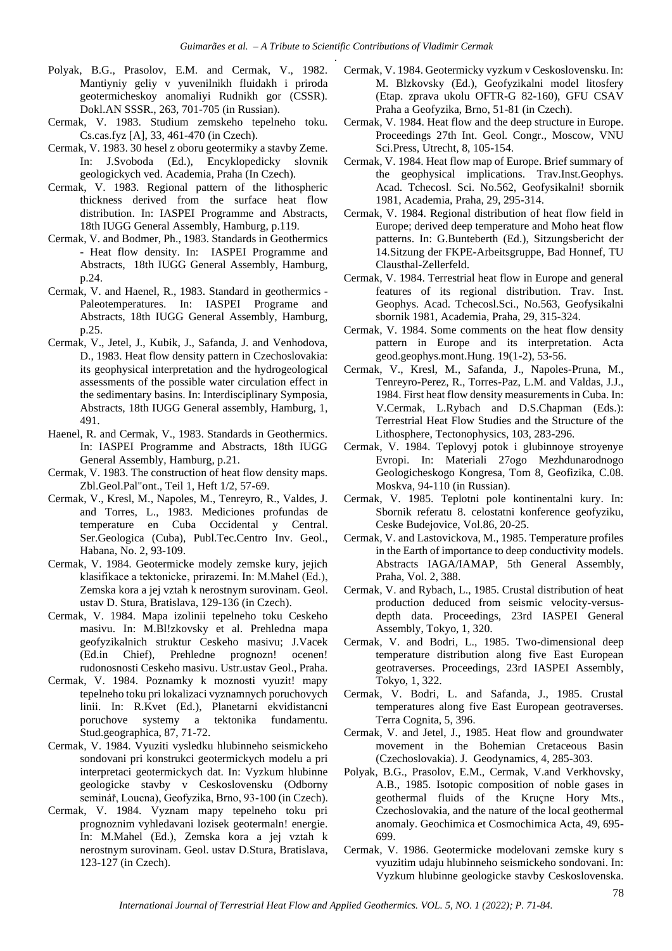- Polyak, B.G., Prasolov, E.M. and Cermak, V., 1982. Mantiyniy geliy v yuvenilnikh fluidakh i priroda geotermicheskoy anomaliyi Rudnikh gor (CSSR). Dokl.AN SSSR., 263, 701-705 (in Russian).
- Cermak, V. 1983. Studium zemskeho tepelneho toku. Cs.cas.fyz [A], 33, 461-470 (in Czech).
- Cermak, V. 1983. 30 hesel z oboru geotermiky a stavby Zeme. In: J.Svoboda (Ed.), Encyklopedicky slovnik geologickych ved. Academia, Praha (In Czech).
- Cermak, V. 1983. Regional pattern of the lithospheric thickness derived from the surface heat flow distribution. In: IASPEI Programme and Abstracts, 18th IUGG General Assembly, Hamburg, p.119.
- Cermak, V. and Bodmer, Ph., 1983. Standards in Geothermics - Heat flow density. In: IASPEI Programme and Abstracts, 18th IUGG General Assembly, Hamburg, p.24.
- Cermak, V. and Haenel, R., 1983. Standard in geothermics Paleotemperatures. In: IASPEI Programe and Abstracts, 18th IUGG General Assembly, Hamburg, p.25.
- Cermak, V., Jetel, J., Kubik, J., Safanda, J. and Venhodova, D., 1983. Heat flow density pattern in Czechoslovakia: its geophysical interpretation and the hydrogeological assessments of the possible water circulation effect in the sedimentary basins. In: Interdisciplinary Symposia, Abstracts, 18th IUGG General assembly, Hamburg, 1, 491.
- Haenel, R. and Cermak, V., 1983. Standards in Geothermics. In: IASPEI Programme and Abstracts, 18th IUGG General Assembly, Hamburg, p.21.
- Cermak, V. 1983. The construction of heat flow density maps. Zbl.Geol.Pal"ont., Teil 1, Heft 1/2, 57-69.
- Cermak, V., Kresl, M., Napoles, M., Tenreyro, R., Valdes, J. and Torres, L., 1983. Mediciones profundas de temperature en Cuba Occidental y Central. Ser.Geologica (Cuba), Publ.Tec.Centro Inv. Geol., Habana, No. 2, 93-109.
- Cermak, V. 1984. Geotermicke modely zemske kury, jejich klasifikace a tektonicke, prirazemi. In: M.Mahel (Ed.), Zemska kora a jej vztah k nerostnym surovinam. Geol. ustav D. Stura, Bratislava, 129-136 (in Czech).
- Cermak, V. 1984. Mapa izolinii tepelneho toku Ceskeho masivu. In: M.Bl!zkovsky et al. Prehledna mapa geofyzikalnich struktur Ceskeho masivu; J.Vacek (Ed.in Chief), Prehledne prognozn! ocenen! rudonosnosti Ceskeho masivu. Ustr.ustav Geol., Praha.
- Cermak, V. 1984. Poznamky k moznosti vyuzit! mapy tepelneho toku pri lokalizaci vyznamnych poruchovych linii. In: R.Kvet (Ed.), Planetarni ekvidistancni poruchove systemy a tektonika fundamentu. Stud.geographica, 87, 71-72.
- Cermak, V. 1984. Vyuziti vysledku hlubinneho seismickeho sondovani pri konstrukci geotermickych modelu a pri interpretaci geotermickych dat. In: Vyzkum hlubinne geologicke stavby v Ceskoslovensku (Odborny seminář, Loucna), Geofyzika, Brno, 93-100 (in Czech).
- Cermak, V. 1984. Vyznam mapy tepelneho toku pri prognoznim vyhledavani lozisek geotermaln! energie. In: M.Mahel (Ed.), Zemska kora a jej vztah k nerostnym surovinam. Geol. ustav D.Stura, Bratislava, 123-127 (in Czech).
- Cermak, V. 1984. Geotermicky vyzkum v Ceskoslovensku. In: M. Blzkovsky (Ed.), Geofyzikalni model litosfery (Etap. zprava ukolu OFTR-G 82-160), GFU CSAV Praha a Geofyzika, Brno, 51-81 (in Czech).
- Cermak, V. 1984. Heat flow and the deep structure in Europe. Proceedings 27th Int. Geol. Congr., Moscow, VNU Sci.Press, Utrecht, 8, 105-154.
- Cermak, V. 1984. Heat flow map of Europe. Brief summary of the geophysical implications. Trav.Inst.Geophys. Acad. Tchecosl. Sci. No.562, Geofysikalni! sbornik 1981, Academia, Praha, 29, 295-314.
- Cermak, V. 1984. Regional distribution of heat flow field in Europe; derived deep temperature and Moho heat flow patterns. In: G.Bunteberth (Ed.), Sitzungsbericht der 14.Sitzung der FKPE-Arbeitsgruppe, Bad Honnef, TU Clausthal-Zellerfeld.
- Cermak, V. 1984. Terrestrial heat flow in Europe and general features of its regional distribution. Trav. Inst. Geophys. Acad. Tchecosl.Sci., No.563, Geofysikalni sbornik 1981, Academia, Praha, 29, 315-324.
- Cermak, V. 1984. Some comments on the heat flow density pattern in Europe and its interpretation. Acta geod.geophys.mont.Hung. 19(1-2), 53-56.
- Cermak, V., Kresl, M., Safanda, J., Napoles-Pruna, M., Tenreyro-Perez, R., Torres-Paz, L.M. and Valdas, J.J., 1984. First heat flow density measurements in Cuba. In: V.Cermak, L.Rybach and D.S.Chapman (Eds.): Terrestrial Heat Flow Studies and the Structure of the Lithosphere, Tectonophysics, 103, 283-296.
- Cermak, V. 1984. Teplovyj potok i glubinnoye stroyenye Evropi. In: Materiali 27ogo Mezhdunarodnogo Geologicheskogo Kongresa, Tom 8, Geofizika, C.08. Moskva, 94-110 (in Russian).
- Cermak, V. 1985. Teplotni pole kontinentalni kury. In: Sbornik referatu 8. celostatni konference geofyziku, Ceske Budejovice, Vol.86, 20-25.
- Cermak, V. and Lastovickova, M., 1985. Temperature profiles in the Earth of importance to deep conductivity models. Abstracts IAGA/IAMAP, 5th General Assembly, Praha, Vol. 2, 388.
- Cermak, V. and Rybach, L., 1985. Crustal distribution of heat production deduced from seismic velocity-versusdepth data. Proceedings, 23rd IASPEI General Assembly, Tokyo, 1, 320.
- Cermak, V. and Bodri, L., 1985. Two-dimensional deep temperature distribution along five East European geotraverses. Proceedings, 23rd IASPEI Assembly, Tokyo, 1, 322.
- Cermak, V. Bodri, L. and Safanda, J., 1985. Crustal temperatures along five East European geotraverses. Terra Cognita, 5, 396.
- Cermak, V. and Jetel, J., 1985. Heat flow and groundwater movement in the Bohemian Cretaceous Basin (Czechoslovakia). J. Geodynamics, 4, 285-303.
- Polyak, B.G., Prasolov, E.M., Cermak, V.and Verkhovsky, A.B., 1985. Isotopic composition of noble gases in geothermal fluids of the Kruçne Hory Mts., Czechoslovakia, and the nature of the local geothermal anomaly. Geochimica et Cosmochimica Acta, 49, 695- 699.
- Cermak, V. 1986. Geotermicke modelovani zemske kury s vyuzitim udaju hlubinneho seismickeho sondovani. In: Vyzkum hlubinne geologicke stavby Ceskoslovenska.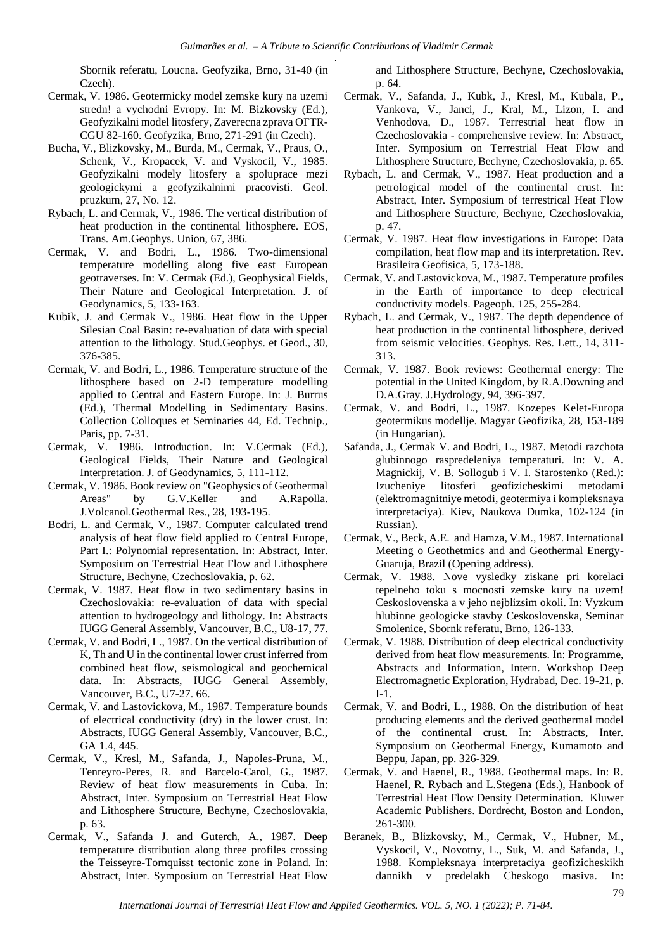Sbornik referatu, Loucna. Geofyzika, Brno, 31-40 (in Czech).

- Cermak, V. 1986. Geotermicky model zemske kury na uzemi stredn! a vychodni Evropy. In: M. Bizkovsky (Ed.), Geofyzikalni model litosfery, Zaverecna zprava OFTR-CGU 82-160. Geofyzika, Brno, 271-291 (in Czech).
- Bucha, V., Blizkovsky, M., Burda, M., Cermak, V., Praus, O., Schenk, V., Kropacek, V. and Vyskocil, V., 1985. Geofyzikalni modely litosfery a spoluprace mezi geologickymi a geofyzikalnimi pracovisti. Geol. pruzkum, 27, No. 12.
- Rybach, L. and Cermak, V., 1986. The vertical distribution of heat production in the continental lithosphere. EOS, Trans. Am.Geophys. Union, 67, 386.
- Cermak, V. and Bodri, L., 1986. Two-dimensional temperature modelling along five east European geotraverses. In: V. Cermak (Ed.), Geophysical Fields, Their Nature and Geological Interpretation. J. of Geodynamics, 5, 133-163.
- Kubik, J. and Cermak V., 1986. Heat flow in the Upper Silesian Coal Basin: re-evaluation of data with special attention to the lithology. Stud.Geophys. et Geod., 30, 376-385.
- Cermak, V. and Bodri, L., 1986. Temperature structure of the lithosphere based on 2-D temperature modelling applied to Central and Eastern Europe. In: J. Burrus (Ed.), Thermal Modelling in Sedimentary Basins. Collection Colloques et Seminaries 44, Ed. Technip., Paris, pp. 7-31.
- Cermak, V. 1986. Introduction. In: V.Cermak (Ed.), Geological Fields, Their Nature and Geological Interpretation. J. of Geodynamics, 5, 111-112.
- Cermak, V. 1986. Book review on "Geophysics of Geothermal Areas" by G.V.Keller and A.Rapolla. J.Volcanol.Geothermal Res., 28, 193-195.
- Bodri, L. and Cermak, V., 1987. Computer calculated trend analysis of heat flow field applied to Central Europe, Part I.: Polynomial representation. In: Abstract, Inter. Symposium on Terrestrial Heat Flow and Lithosphere Structure, Bechyne, Czechoslovakia, p. 62.
- Cermak, V. 1987. Heat flow in two sedimentary basins in Czechoslovakia: re-evaluation of data with special attention to hydrogeology and lithology. In: Abstracts IUGG General Assembly, Vancouver, B.C., U8-17, 77.
- Cermak, V. and Bodri, L., 1987. On the vertical distribution of K, Th and U in the continental lower crust inferred from combined heat flow, seismological and geochemical data. In: Abstracts, IUGG General Assembly, Vancouver, B.C., U7-27. 66.
- Cermak, V. and Lastovickova, M., 1987. Temperature bounds of electrical conductivity (dry) in the lower crust. In: Abstracts, IUGG General Assembly, Vancouver, B.C., GA 1.4, 445.
- Cermak, V., Kresl, M., Safanda, J., Napoles-Pruna, M., Tenreyro-Peres, R. and Barcelo-Carol, G., 1987. Review of heat flow measurements in Cuba. In: Abstract, Inter. Symposium on Terrestrial Heat Flow and Lithosphere Structure, Bechyne, Czechoslovakia, p. 63.
- Cermak, V., Safanda J. and Guterch, A., 1987. Deep temperature distribution along three profiles crossing the Teisseyre-Tornquisst tectonic zone in Poland. In: Abstract, Inter. Symposium on Terrestrial Heat Flow

and Lithosphere Structure, Bechyne, Czechoslovakia, p. 64.

- Cermak, V., Safanda, J., Kubk, J., Kresl, M., Kubala, P., Vankova, V., Janci, J., Kral, M., Lizon, I. and Venhodova, D., 1987. Terrestrial heat flow in Czechoslovakia - comprehensive review. In: Abstract, Inter. Symposium on Terrestrial Heat Flow and Lithosphere Structure, Bechyne, Czechoslovakia, p. 65.
- Rybach, L. and Cermak, V., 1987. Heat production and a petrological model of the continental crust. In: Abstract, Inter. Symposium of terrestrical Heat Flow and Lithosphere Structure, Bechyne, Czechoslovakia, p. 47.
- Cermak, V. 1987. Heat flow investigations in Europe: Data compilation, heat flow map and its interpretation. Rev. Brasileira Geofisica, 5, 173-188.
- Cermak, V. and Lastovickova, M., 1987. Temperature profiles in the Earth of importance to deep electrical conductivity models. Pageoph. 125, 255-284.
- Rybach, L. and Cermak, V., 1987. The depth dependence of heat production in the continental lithosphere, derived from seismic velocities. Geophys. Res. Lett., 14, 311- 313.
- Cermak, V. 1987. Book reviews: Geothermal energy: The potential in the United Kingdom, by R.A.Downing and D.A.Gray. J.Hydrology, 94, 396-397.
- Cermak, V. and Bodri, L., 1987. Kozepes Kelet-Europa geotermikus modellje. Magyar Geofizika, 28, 153-189 (in Hungarian).
- Safanda, J., Cermak V. and Bodri, L., 1987. Metodi razchota glubinnogo raspredeleniya temperaturi. In: V. A. Magnickij, V. B. Sollogub i V. I. Starostenko (Red.): Izucheniye litosferi geofizicheskimi metodami (elektromagnitniye metodi, geotermiya i kompleksnaya interpretaciya). Kiev, Naukova Dumka, 102-124 (in Russian).
- Cermak, V., Beck, A.E. and Hamza, V.M., 1987. International Meeting o Geothetmics and and Geothermal Energy-Guaruja, Brazil (Opening address).
- Cermak, V. 1988. Nove vysledky ziskane pri korelaci tepelneho toku s mocnosti zemske kury na uzem! Ceskoslovenska a v jeho nejblizsim okoli. In: Vyzkum hlubinne geologicke stavby Ceskoslovenska, Seminar Smolenice, Sbornk referatu, Brno, 126-133.
- Cermak, V. 1988. Distribution of deep electrical conductivity derived from heat flow measurements. In: Programme, Abstracts and Information, Intern. Workshop Deep Electromagnetic Exploration, Hydrabad, Dec. 19-21, p. I-1.
- Cermak, V. and Bodri, L., 1988. On the distribution of heat producing elements and the derived geothermal model of the continental crust. In: Abstracts, Inter. Symposium on Geothermal Energy, Kumamoto and Beppu, Japan, pp. 326-329.
- Cermak, V. and Haenel, R., 1988. Geothermal maps. In: R. Haenel, R. Rybach and L.Stegena (Eds.), Hanbook of Terrestrial Heat Flow Density Determination. Kluwer Academic Publishers. Dordrecht, Boston and London, 261-300.
- Beranek, B., Blizkovsky, M., Cermak, V., Hubner, M., Vyskocil, V., Novotny, L., Suk, M. and Safanda, J., 1988. Kompleksnaya interpretaciya geofizicheskikh dannikh v predelakh Cheskogo masiva. In: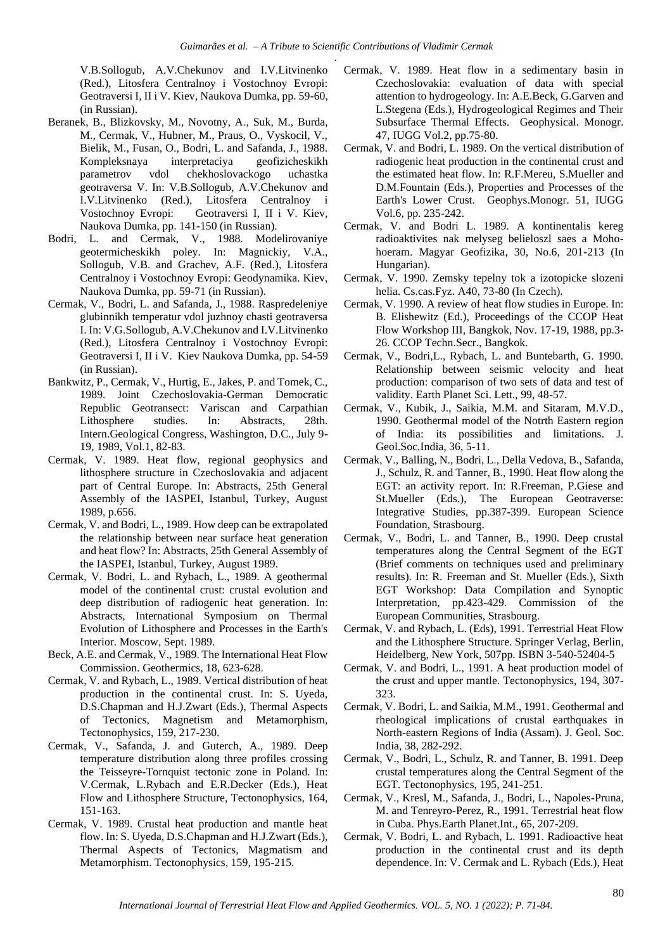V.B.Sollogub, A.V.Chekunov and I.V.Litvinenko (Red.), Litosfera Centralnoy i Vostochnoy Evropi: Geotraversi I, II i V. Kiev, Naukova Dumka, pp. 59-60, (in Russian).

- Beranek, B., Blizkovsky, M., Novotny, A., Suk, M., Burda, M., Cermak, V., Hubner, M., Praus, O., Vyskocil, V., Bielik, M., Fusan, O., Bodri, L. and Safanda, J., 1988. Kompleksnaya interpretaciya geofizicheskikh parametrov vdol chekhoslovackogo uchastka geotraversa V. In: V.B.Sollogub, A.V.Chekunov and I.V.Litvinenko (Red.), Litosfera Centralnoy i Vostochnoy Evropi: Geotraversi I, II i V. Kiev, Naukova Dumka, pp. 141-150 (in Russian).
- Bodri, L. and Cermak, V., 1988. Modelirovaniye geotermicheskikh poley. In: Magnickiy, V.A., Sollogub, V.B. and Grachev, A.F. (Red.), Litosfera Centralnoy i Vostochnoy Evropi: Geodynamika. Kiev, Naukova Dumka, pp. 59-71 (in Russian).
- Cermak, V., Bodri, L. and Safanda, J., 1988. Raspredeleniye glubinnikh temperatur vdol juzhnoy chasti geotraversa I. In: V.G.Sollogub, A.V.Chekunov and I.V.Litvinenko (Red.), Litosfera Centralnoy i Vostochnoy Evropi: Geotraversi I, II i V. Kiev Naukova Dumka, pp. 54-59 (in Russian).
- Bankwitz, P., Cermak, V., Hurtig, E., Jakes, P. and Tomek, C., 1989. Joint Czechoslovakia-German Democratic Republic Geotransect: Variscan and Carpathian Lithosphere studies. In: Abstracts, 28th. Intern.Geological Congress, Washington, D.C., July 9- 19, 1989, Vol.1, 82-83.
- Cermak, V. 1989. Heat flow, regional geophysics and lithosphere structure in Czechoslovakia and adjacent part of Central Europe. In: Abstracts, 25th General Assembly of the IASPEI, Istanbul, Turkey, August 1989, p.656.
- Cermak, V. and Bodri, L., 1989. How deep can be extrapolated the relationship between near surface heat generation and heat flow? In: Abstracts, 25th General Assembly of the IASPEI, Istanbul, Turkey, August 1989.
- Cermak, V. Bodri, L. and Rybach, L., 1989. A geothermal model of the continental crust: crustal evolution and deep distribution of radiogenic heat generation. In: Abstracts, International Symposium on Thermal Evolution of Lithosphere and Processes in the Earth's Interior. Moscow, Sept. 1989.
- Beck, A.E. and Cermak, V., 1989. The International Heat Flow Commission. Geothermics, 18, 623-628.
- Cermak, V. and Rybach, L., 1989. Vertical distribution of heat production in the continental crust. In: S. Uyeda, D.S.Chapman and H.J.Zwart (Eds.), Thermal Aspects of Tectonics, Magnetism and Metamorphism, Tectonophysics, 159, 217-230.
- Cermak, V., Safanda, J. and Guterch, A., 1989. Deep temperature distribution along three profiles crossing the Teisseyre-Tornquist tectonic zone in Poland. In: V.Cermak, L.Rybach and E.R.Decker (Eds.), Heat Flow and Lithosphere Structure, Tectonophysics, 164, 151-163.
- Cermak, V. 1989. Crustal heat production and mantle heat flow. In: S. Uyeda, D.S.Chapman and H.J.Zwart (Eds.), Thermal Aspects of Tectonics, Magmatism and Metamorphism. Tectonophysics, 159, 195-215.
- Cermak, V. 1989. Heat flow in a sedimentary basin in Czechoslovakia: evaluation of data with special attention to hydrogeology. In: A.E.Beck, G.Garven and L.Stegena (Eds.), Hydrogeological Regimes and Their Subsurface Thermal Effects. Geophysical. Monogr. 47, IUGG Vol.2, pp.75-80.
- Cermak, V. and Bodri, L. 1989. On the vertical distribution of radiogenic heat production in the continental crust and the estimated heat flow. In: R.F.Mereu, S.Mueller and D.M.Fountain (Eds.), Properties and Processes of the Earth's Lower Crust. Geophys.Monogr. 51, IUGG Vol.6, pp. 235-242.
- Cermak, V. and Bodri L. 1989. A kontinentalis kereg radioaktivites nak melyseg belieloszl saes a Mohohoeram. Magyar Geofizika, 30, No.6, 201-213 (In Hungarian).
- Cermak, V. 1990. Zemsky tepelny tok a izotopicke slozeni helia. Cs.cas.Fyz. A40, 73-80 (In Czech).
- Cermak, V. 1990. A review of heat flow studies in Europe. In: B. Elishewitz (Ed.), Proceedings of the CCOP Heat Flow Workshop III, Bangkok, Nov. 17-19, 1988, pp.3- 26. CCOP Techn.Secr., Bangkok.
- Cermak, V., Bodri,L., Rybach, L. and Buntebarth, G. 1990. Relationship between seismic velocity and heat production: comparison of two sets of data and test of validity. Earth Planet Sci. Lett., 99, 48-57.
- Cermak, V., Kubik, J., Saikia, M.M. and Sitaram, M.V.D., 1990. Geothermal model of the Notrth Eastern region of India: its possibilities and limitations. J. Geol.Soc.India, 36, 5-11.
- Cermak, V., Balling, N., Bodri, L., Della Vedova, B., Safanda, J., Schulz, R. and Tanner, B., 1990. Heat flow along the EGT: an activity report. In: R.Freeman, P.Giese and St.Mueller (Eds.), The European Geotraverse: Integrative Studies, pp.387-399. European Science Foundation, Strasbourg.
- Cermak, V., Bodri, L. and Tanner, B., 1990. Deep crustal temperatures along the Central Segment of the EGT (Brief comments on techniques used and preliminary results). In: R. Freeman and St. Mueller (Eds.), Sixth EGT Workshop: Data Compilation and Synoptic Interpretation, pp.423-429. Commission of the European Communities, Strasbourg.
- Cermak, V. and Rybach, L. (Eds), 1991. Terrestrial Heat Flow and the Lithosphere Structure. Springer Verlag, Berlin, Heidelberg, New York, 507pp. ISBN 3-540-52404-5
- Cermak, V. and Bodri, L., 1991. A heat production model of the crust and upper mantle. Tectonophysics, 194, 307- 323.
- Cermak, V. Bodri, L. and Saikia, M.M., 1991. Geothermal and rheological implications of crustal earthquakes in North-eastern Regions of India (Assam). J. Geol. Soc. India, 38, 282-292.
- Cermak, V., Bodri, L., Schulz, R. and Tanner, B. 1991. Deep crustal temperatures along the Central Segment of the EGT. Tectonophysics, 195, 241-251.
- Cermak, V., Kresl, M., Safanda, J., Bodri, L., Napoles-Pruna, M. and Tenreyro-Perez, R., 1991. Terrestrial heat flow in Cuba. Phys.Earth Planet.Int., 65, 207-209.
- Cermak, V. Bodri, L. and Rybach, L. 1991. Radioactive heat production in the continental crust and its depth dependence. In: V. Cermak and L. Rybach (Eds.), Heat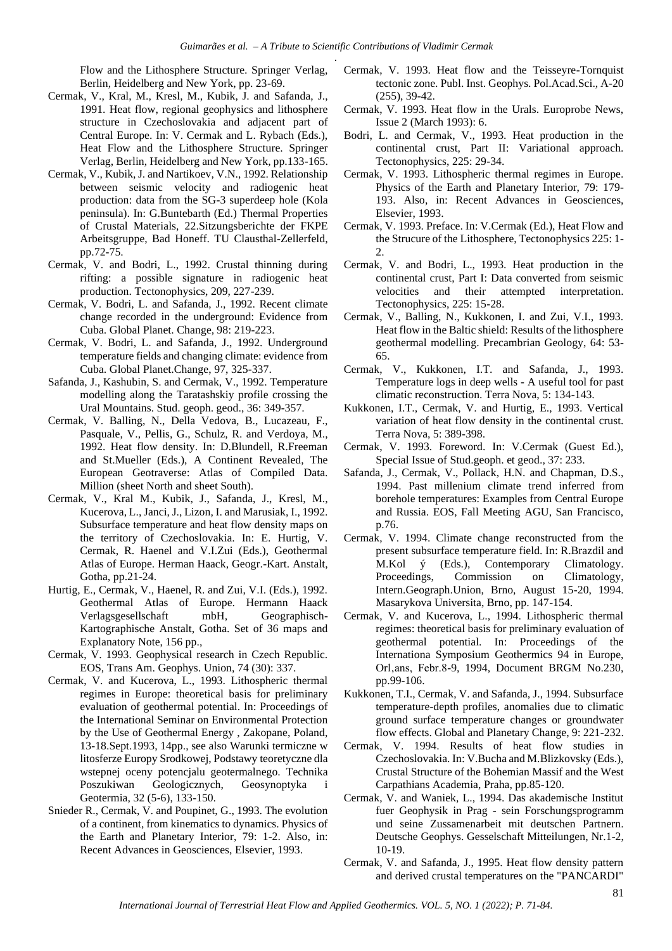Flow and the Lithosphere Structure. Springer Verlag, Berlin, Heidelberg and New York, pp. 23-69.

- Cermak, V., Kral, M., Kresl, M., Kubik, J. and Safanda, J., 1991. Heat flow, regional geophysics and lithosphere structure in Czechoslovakia and adjacent part of Central Europe. In: V. Cermak and L. Rybach (Eds.), Heat Flow and the Lithosphere Structure. Springer Verlag, Berlin, Heidelberg and New York, pp.133-165.
- Cermak, V., Kubik, J. and Nartikoev, V.N., 1992. Relationship between seismic velocity and radiogenic heat production: data from the SG-3 superdeep hole (Kola peninsula). In: G.Buntebarth (Ed.) Thermal Properties of Crustal Materials, 22.Sitzungsberichte der FKPE Arbeitsgruppe, Bad Honeff. TU Clausthal-Zellerfeld, pp.72-75.
- Cermak, V. and Bodri, L., 1992. Crustal thinning during rifting: a possible signature in radiogenic heat production. Tectonophysics, 209, 227-239.
- Cermak, V. Bodri, L. and Safanda, J., 1992. Recent climate change recorded in the underground: Evidence from Cuba. Global Planet. Change, 98: 219-223.
- Cermak, V. Bodri, L. and Safanda, J., 1992. Underground temperature fields and changing climate: evidence from Cuba. Global Planet.Change, 97, 325-337.
- Safanda, J., Kashubin, S. and Cermak, V., 1992. Temperature modelling along the Taratashskiy profile crossing the Ural Mountains. Stud. geoph. geod., 36: 349-357.
- Cermak, V. Balling, N., Della Vedova, B., Lucazeau, F., Pasquale, V., Pellis, G., Schulz, R. and Verdoya, M., 1992. Heat flow density. In: D.Blundell, R.Freeman and St.Mueller (Eds.), A Continent Revealed, The European Geotraverse: Atlas of Compiled Data. Million (sheet North and sheet South).
- Cermak, V., Kral M., Kubik, J., Safanda, J., Kresl, M., Kucerova, L., Janci, J., Lizon, I. and Marusiak, I., 1992. Subsurface temperature and heat flow density maps on the territory of Czechoslovakia. In: E. Hurtig, V. Cermak, R. Haenel and V.I.Zui (Eds.), Geothermal Atlas of Europe. Herman Haack, Geogr.-Kart. Anstalt, Gotha, pp.21-24.
- Hurtig, E., Cermak, V., Haenel, R. and Zui, V.I. (Eds.), 1992. Geothermal Atlas of Europe. Hermann Haack Verlagsgesellschaft mbH, Geographisch-Kartographische Anstalt, Gotha. Set of 36 maps and Explanatory Note, 156 pp.,
- Cermak, V. 1993. Geophysical research in Czech Republic. EOS, Trans Am. Geophys. Union, 74 (30): 337.
- Cermak, V. and Kucerova, L., 1993. Lithospheric thermal regimes in Europe: theoretical basis for preliminary evaluation of geothermal potential. In: Proceedings of the International Seminar on Environmental Protection by the Use of Geothermal Energy , Zakopane, Poland, 13-18.Sept.1993, 14pp., see also Warunki termiczne w litosferze Europy Srodkowej, Podstawy teoretyczne dla wstepnej oceny potencjalu geotermalnego. Technika Poszukiwan Geologicznych, Geosynoptyka i Geotermia, 32 (5-6), 133-150.
- Snieder R., Cermak, V. and Poupinet, G., 1993. The evolution of a continent, from kinematics to dynamics. Physics of the Earth and Planetary Interior, 79: 1-2. Also, in: Recent Advances in Geosciences, Elsevier, 1993.
- Cermak, V. 1993. Heat flow and the Teisseyre-Tornquist tectonic zone. Publ. Inst. Geophys. Pol.Acad.Sci., A-20 (255), 39-42.
- Cermak, V. 1993. Heat flow in the Urals. Europrobe News, Issue 2 (March 1993): 6.
- Bodri, L. and Cermak, V., 1993. Heat production in the continental crust, Part II: Variational approach. Tectonophysics, 225: 29-34.
- Cermak, V. 1993. Lithospheric thermal regimes in Europe. Physics of the Earth and Planetary Interior, 79: 179- 193. Also, in: Recent Advances in Geosciences, Elsevier, 1993.
- Cermak, V. 1993. Preface. In: V.Cermak (Ed.), Heat Flow and the Strucure of the Lithosphere, Tectonophysics 225: 1-  $\mathcal{L}$
- Cermak, V. and Bodri, L., 1993. Heat production in the continental crust, Part I: Data converted from seismic velocities and their attempted interpretation. Tectonophysics, 225: 15-28.
- Cermak, V., Balling, N., Kukkonen, I. and Zui, V.I., 1993. Heat flow in the Baltic shield: Results of the lithosphere geothermal modelling. Precambrian Geology, 64: 53- 65.
- Cermak, V., Kukkonen, I.T. and Safanda, J., 1993. Temperature logs in deep wells - A useful tool for past climatic reconstruction. Terra Nova, 5: 134-143.
- Kukkonen, I.T., Cermak, V. and Hurtig, E., 1993. Vertical variation of heat flow density in the continental crust. Terra Nova, 5: 389-398.
- Cermak, V. 1993. Foreword. In: V.Cermak (Guest Ed.), Special Issue of Stud.geoph. et geod., 37: 233.
- Safanda, J., Cermak, V., Pollack, H.N. and Chapman, D.S., 1994. Past millenium climate trend inferred from borehole temperatures: Examples from Central Europe and Russia. EOS, Fall Meeting AGU, San Francisco, p.76.
- Cermak, V. 1994. Climate change reconstructed from the present subsurface temperature field. In: R.Brazdil and M.Kol ý (Eds.), Contemporary Climatology. Proceedings, Commission on Climatology, Intern.Geograph.Union, Brno, August 15-20, 1994. Masarykova Universita, Brno, pp. 147-154.
- Cermak, V. and Kucerova, L., 1994. Lithospheric thermal regimes: theoretical basis for preliminary evaluation of geothermal potential. In: Proceedings of the Internationa Symposium Geothermics 94 in Europe, Orl,ans, Febr.8-9, 1994, Document BRGM No.230, pp.99-106.
- Kukkonen, T.I., Cermak, V. and Safanda, J., 1994. Subsurface temperature-depth profiles, anomalies due to climatic ground surface temperature changes or groundwater flow effects. Global and Planetary Change, 9: 221-232.
- Cermak, V. 1994. Results of heat flow studies in Czechoslovakia. In: V.Bucha and M.Blizkovsky (Eds.), Crustal Structure of the Bohemian Massif and the West Carpathians Academia, Praha, pp.85-120.
- Cermak, V. and Waniek, L., 1994. Das akademische Institut fuer Geophysik in Prag - sein Forschungsprogramm und seine Zussamenarbeit mit deutschen Partnern. Deutsche Geophys. Gesselschaft Mitteilungen, Nr.1-2, 10-19.
- Cermak, V. and Safanda, J., 1995. Heat flow density pattern and derived crustal temperatures on the "PANCARDI"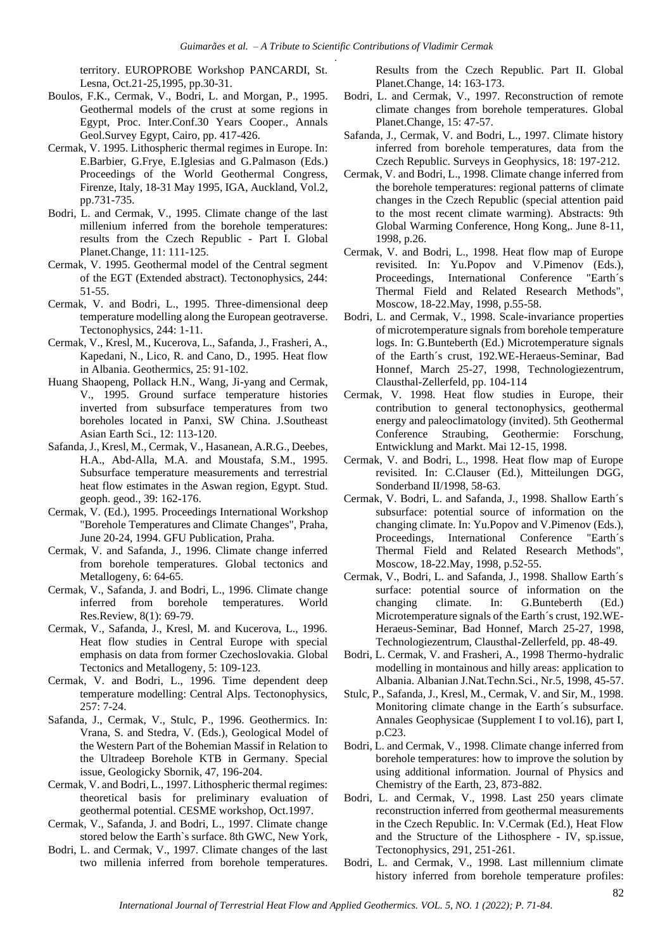territory. EUROPROBE Workshop PANCARDI, St. Lesna, Oct.21-25,1995, pp.30-31.

- Boulos, F.K., Cermak, V., Bodri, L. and Morgan, P., 1995. Geothermal models of the crust at some regions in Egypt, Proc. Inter.Conf.30 Years Cooper., Annals Geol.Survey Egypt, Cairo, pp. 417-426.
- Cermak, V. 1995. Lithospheric thermal regimes in Europe. In: E.Barbier, G.Frye, E.Iglesias and G.Palmason (Eds.) Proceedings of the World Geothermal Congress, Firenze, Italy, 18-31 May 1995, IGA, Auckland, Vol.2, pp.731-735.
- Bodri, L. and Cermak, V., 1995. Climate change of the last millenium inferred from the borehole temperatures: results from the Czech Republic - Part I. Global Planet.Change, 11: 111-125.
- Cermak, V. 1995. Geothermal model of the Central segment of the EGT (Extended abstract). Tectonophysics, 244: 51-55.
- Cermak, V. and Bodri, L., 1995. Three-dimensional deep temperature modelling along the European geotraverse. Tectonophysics, 244: 1-11.
- Cermak, V., Kresl, M., Kucerova, L., Safanda, J., Frasheri, A., Kapedani, N., Lico, R. and Cano, D., 1995. Heat flow in Albania. Geothermics, 25: 91-102.
- Huang Shaopeng, Pollack H.N., Wang, Ji-yang and Cermak, V., 1995. Ground surface temperature histories inverted from subsurface temperatures from two boreholes located in Panxi, SW China. J.Southeast Asian Earth Sci., 12: 113-120.
- Safanda, J., Kresl, M., Cermak, V., Hasanean, A.R.G., Deebes, H.A., Abd-Alla, M.A. and Moustafa, S.M., 1995. Subsurface temperature measurements and terrestrial heat flow estimates in the Aswan region, Egypt. Stud. geoph. geod., 39: 162-176.
- Cermak, V. (Ed.), 1995. Proceedings International Workshop "Borehole Temperatures and Climate Changes", Praha, June 20-24, 1994. GFU Publication, Praha.
- Cermak, V. and Safanda, J., 1996. Climate change inferred from borehole temperatures. Global tectonics and Metallogeny, 6: 64-65.
- Cermak, V., Safanda, J. and Bodri, L., 1996. Climate change inferred from borehole temperatures. World Res.Review, 8(1): 69-79.
- Cermak, V., Safanda, J., Kresl, M. and Kucerova, L., 1996. Heat flow studies in Central Europe with special emphasis on data from former Czechoslovakia. Global Tectonics and Metallogeny, 5: 109-123.
- Cermak, V. and Bodri, L., 1996. Time dependent deep temperature modelling: Central Alps. Tectonophysics, 257: 7-24.
- Safanda, J., Cermak, V., Stulc, P., 1996. Geothermics. In: Vrana, S. and Stedra, V. (Eds.), Geological Model of the Western Part of the Bohemian Massif in Relation to the Ultradeep Borehole KTB in Germany. Special issue, Geologicky Sbornik, 47, 196-204.
- Cermak, V. and Bodri, L., 1997. Lithospheric thermal regimes: theoretical basis for preliminary evaluation of geothermal potential. CESME workshop, Oct.1997.
- Cermak, V., Safanda, J. and Bodri, L., 1997. Climate change stored below the Earth`s surface. 8th GWC, New York,
- Bodri, L. and Cermak, V., 1997. Climate changes of the last two millenia inferred from borehole temperatures.

Results from the Czech Republic. Part II. Global Planet.Change, 14: 163-173.

- Bodri, L. and Cermak, V., 1997. Reconstruction of remote climate changes from borehole temperatures. Global Planet.Change, 15: 47-57.
- Safanda, J., Cermak, V. and Bodri, L., 1997. Climate history inferred from borehole temperatures, data from the Czech Republic. Surveys in Geophysics, 18: 197-212.
- Cermak, V. and Bodri, L., 1998. Climate change inferred from the borehole temperatures: regional patterns of climate changes in the Czech Republic (special attention paid to the most recent climate warming). Abstracts: 9th Global Warming Conference, Hong Kong,. June 8-11, 1998, p.26.
- Cermak, V. and Bodri, L., 1998. Heat flow map of Europe revisited. In: Yu.Popov and V.Pimenov (Eds.), Proceedings, International Conference "Earth´s Thermal Field and Related Research Methods", Moscow, 18-22.May, 1998, p.55-58.
- Bodri, L. and Cermak, V., 1998. Scale-invariance properties of microtemperature signals from borehole temperature logs. In: G.Bunteberth (Ed.) Microtemperature signals of the Earth´s crust, 192.WE-Heraeus-Seminar, Bad Honnef, March 25-27, 1998, Technologiezentrum, Clausthal-Zellerfeld, pp. 104-114
- Cermak, V. 1998. Heat flow studies in Europe, their contribution to general tectonophysics, geothermal energy and paleoclimatology (invited). 5th Geothermal Conference Straubing, Geothermie: Forschung, Entwicklung and Markt. Mai 12-15, 1998.
- Cermak, V. and Bodri, L., 1998. Heat flow map of Europe revisited. In: C.Clauser (Ed.), Mitteilungen DGG, Sonderband II/1998, 58-63.
- Cermak, V. Bodri, L. and Safanda, J., 1998. Shallow Earth´s subsurface: potential source of information on the changing climate. In: Yu.Popov and V.Pimenov (Eds.), Proceedings, International Conference "Earth´s Thermal Field and Related Research Methods", Moscow, 18-22.May, 1998, p.52-55.
- Cermak, V., Bodri, L. and Safanda, J., 1998. Shallow Earth´s surface: potential source of information on the changing climate. In: G.Bunteberth (Ed.) Microtemperature signals of the Earth´s crust, 192.WE-Heraeus-Seminar, Bad Honnef, March 25-27, 1998, Technologiezentrum, Clausthal-Zellerfeld, pp. 48-49.
- Bodri, L. Cermak, V. and Frasheri, A., 1998 Thermo-hydralic modelling in montainous and hilly areas: application to Albania. Albanian J.Nat.Techn.Sci., Nr.5, 1998, 45-57.
- Stulc, P., Safanda, J., Kresl, M., Cermak, V. and Sir, M., 1998. Monitoring climate change in the Earth´s subsurface. Annales Geophysicae (Supplement I to vol.16), part I, p.C23.
- Bodri, L. and Cermak, V., 1998. Climate change inferred from borehole temperatures: how to improve the solution by using additional information. Journal of Physics and Chemistry of the Earth, 23, 873-882.
- Bodri, L. and Cermak, V., 1998. Last 250 years climate reconstruction inferred from geothermal measurements in the Czech Republic. In: V.Cermak (Ed.), Heat Flow and the Structure of the Lithosphere - IV, sp.issue, Tectonophysics, 291, 251-261.
- Bodri, L. and Cermak, V., 1998. Last millennium climate history inferred from borehole temperature profiles: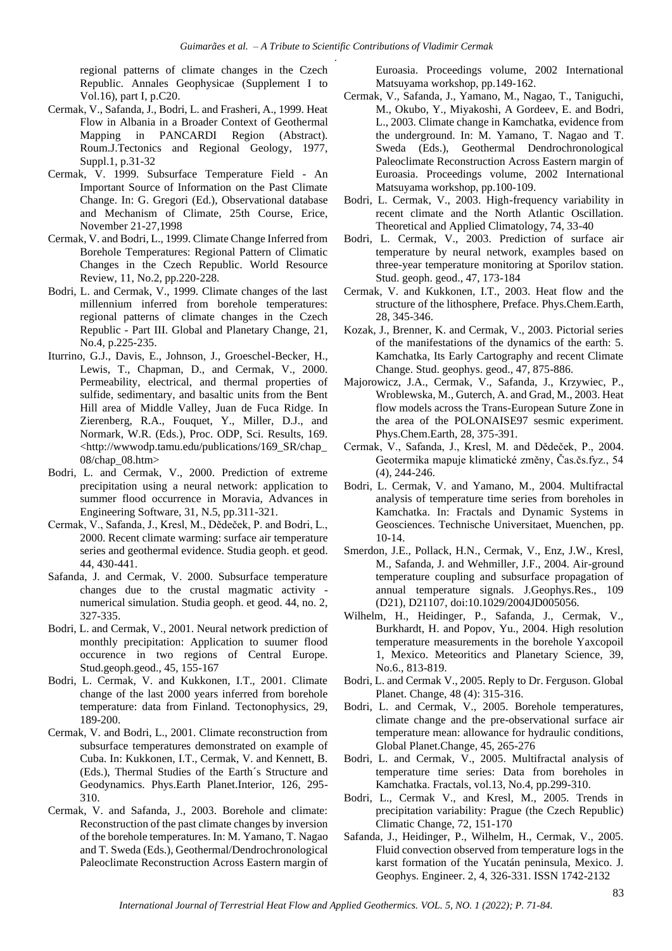regional patterns of climate changes in the Czech Republic. Annales Geophysicae (Supplement I to Vol.16), part I, p.C20.

- Cermak, V., Safanda, J., Bodri, L. and Frasheri, A., 1999. Heat Flow in Albania in a Broader Context of Geothermal Mapping in PANCARDI Region (Abstract). Roum.J.Tectonics and Regional Geology, 1977, Suppl.1, p.31-32
- Cermak, V. 1999. Subsurface Temperature Field An Important Source of Information on the Past Climate Change. In: G. Gregori (Ed.), Observational database and Mechanism of Climate, 25th Course, Erice, November 21-27,1998
- Cermak, V. and Bodri, L., 1999. Climate Change Inferred from Borehole Temperatures: Regional Pattern of Climatic Changes in the Czech Republic. World Resource Review, 11, No.2, pp.220-228.
- Bodri, L. and Cermak, V., 1999. Climate changes of the last millennium inferred from borehole temperatures: regional patterns of climate changes in the Czech Republic - Part III. Global and Planetary Change, 21, No.4, p.225-235.
- Iturrino, G.J., Davis, E., Johnson, J., Groeschel-Becker, H., Lewis, T., Chapman, D., and Cermak, V., 2000. Permeability, electrical, and thermal properties of sulfide, sedimentary, and basaltic units from the Bent Hill area of Middle Valley, Juan de Fuca Ridge. In Zierenberg, R.A., Fouquet, Y., Miller, D.J., and Normark, W.R. (Eds.), Proc. ODP, Sci. Results, 169. <http://wwwodp.tamu.edu/publications/169\_SR/chap\_ 08/chap\_08.htm>
- Bodri, L. and Cermak, V., 2000. Prediction of extreme precipitation using a neural network: application to summer flood occurrence in Moravia, Advances in Engineering Software, 31, N.5, pp.311-321.
- Cermak, V., Safanda, J., Kresl, M., Dědeček, P. and Bodri, L., 2000. Recent climate warming: surface air temperature series and geothermal evidence. Studia geoph. et geod. 44, 430-441.
- Safanda, J. and Cermak, V. 2000. Subsurface temperature changes due to the crustal magmatic activity numerical simulation. Studia geoph. et geod. 44, no. 2, 327-335.
- Bodri, L. and Cermak, V., 2001. Neural network prediction of monthly precipitation: Application to suumer flood occurence in two regions of Central Europe. Stud.geoph.geod., 45, 155-167
- Bodri, L. Cermak, V. and Kukkonen, I.T., 2001. Climate change of the last 2000 years inferred from borehole temperature: data from Finland. Tectonophysics, 29, 189-200.
- Cermak, V. and Bodri, L., 2001. Climate reconstruction from subsurface temperatures demonstrated on example of Cuba. In: Kukkonen, I.T., Cermak, V. and Kennett, B. (Eds.), Thermal Studies of the Earth´s Structure and Geodynamics. Phys.Earth Planet.Interior, 126, 295- 310.
- Cermak, V. and Safanda, J., 2003. Borehole and climate: Reconstruction of the past climate changes by inversion of the borehole temperatures. In: M. Yamano, T. Nagao and T. Sweda (Eds.), Geothermal/Dendrochronological Paleoclimate Reconstruction Across Eastern margin of

Euroasia. Proceedings volume, 2002 International Matsuyama workshop, pp.149-162.

- Cermak, V., Safanda, J., Yamano, M., Nagao, T., Taniguchi, M., Okubo, Y., Miyakoshi, A Gordeev, E. and Bodri, L., 2003. Climate change in Kamchatka, evidence from the underground. In: M. Yamano, T. Nagao and T. Sweda (Eds.), Geothermal Dendrochronological Paleoclimate Reconstruction Across Eastern margin of Euroasia. Proceedings volume, 2002 International Matsuyama workshop, pp.100-109.
- Bodri, L. Cermak, V., 2003. High-frequency variability in recent climate and the North Atlantic Oscillation. Theoretical and Applied Climatology, 74, 33-40
- Bodri, L. Cermak, V., 2003. Prediction of surface air temperature by neural network, examples based on three-year temperature monitoring at Sporilov station. Stud. geoph. geod., 47, 173-184
- Cermak, V. and Kukkonen, I.T., 2003. Heat flow and the structure of the lithosphere, Preface. Phys.Chem.Earth, 28, 345-346.
- Kozak, J., Brenner, K. and Cermak, V., 2003. Pictorial series of the manifestations of the dynamics of the earth: 5. Kamchatka, Its Early Cartography and recent Climate Change. Stud. geophys. geod., 47, 875-886.
- Majorowicz, J.A., Cermak, V., Safanda, J., Krzywiec, P., Wroblewska, M., Guterch, A. and Grad, M., 2003. Heat flow models across the Trans-European Suture Zone in the area of the POLONAISE97 sesmic experiment. Phys.Chem.Earth, 28, 375-391.
- Cermak, V., Safanda, J., Kresl, M. and Dědeček, P., 2004. Geotermika mapuje klimatické změny, Čas.čs.fyz., 54 (4), 244-246.
- Bodri, L. Cermak, V. and Yamano, M., 2004. Multifractal analysis of temperature time series from boreholes in Kamchatka. In: Fractals and Dynamic Systems in Geosciences. Technische Universitaet, Muenchen, pp. 10-14.
- Smerdon, J.E., Pollack, H.N., Cermak, V., Enz, J.W., Kresl, M., Safanda, J. and Wehmiller, J.F., 2004. Air-ground temperature coupling and subsurface propagation of annual temperature signals. J.Geophys.Res., 109 (D21), D21107, doi:10.1029/2004JD005056.
- Wilhelm, H., Heidinger, P., Safanda, J., Cermak, V., Burkhardt, H. and Popov, Yu., 2004. High resolution temperature measurements in the borehole Yaxcopoil 1, Mexico. Meteoritics and Planetary Science, 39, No.6., 813-819.
- Bodri, L. and Cermak V., 2005. Reply to Dr. Ferguson. Global Planet. Change, 48 (4): 315-316.
- Bodri, L. and Cermak, V., 2005. Borehole temperatures, climate change and the pre-observational surface air temperature mean: allowance for hydraulic conditions, Global Planet.Change, 45, 265-276
- Bodri, L. and Cermak, V., 2005. Multifractal analysis of temperature time series: Data from boreholes in Kamchatka. Fractals, vol.13, No.4, pp.299-310.
- Bodri, L., Cermak V., and Kresl, M., 2005. Trends in precipitation variability: Prague (the Czech Republic) Climatic Change, 72, 151-170
- Safanda, J., Heidinger, P., Wilhelm, H., Cermak, V., 2005. Fluid convection observed from temperature logs in the karst formation of the Yucatán peninsula, Mexico. J. Geophys. Engineer. 2, 4, 326-331. ISSN 1742-2132